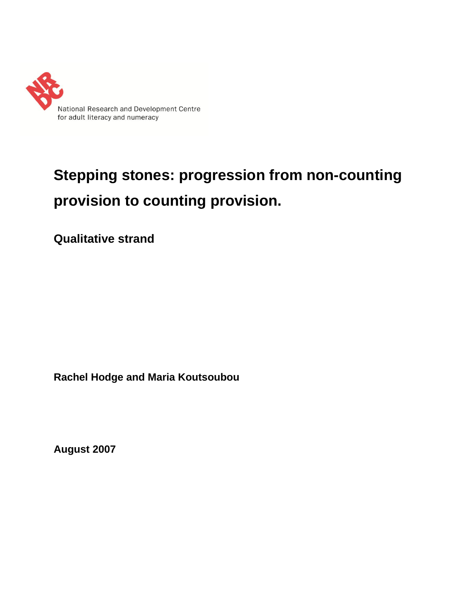

# **Stepping stones: progression from non-counting provision to counting provision.**

**Qualitative strand**

**Rachel Hodge and Maria Koutsoubou**

**August 2007**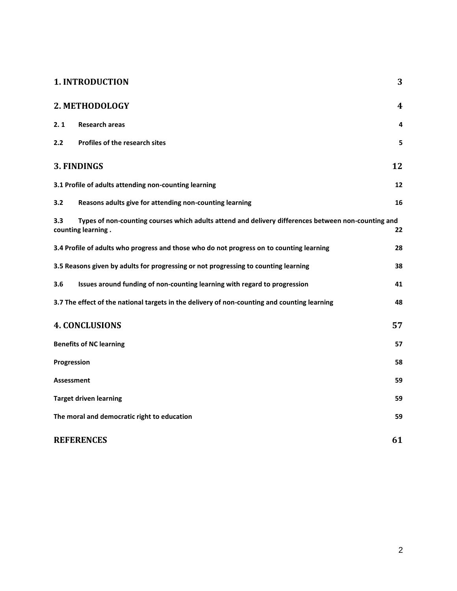|                                             | <b>1. INTRODUCTION</b>                                                                                                    | 3  |
|---------------------------------------------|---------------------------------------------------------------------------------------------------------------------------|----|
|                                             | 2. METHODOLOGY                                                                                                            | 4  |
| 2.1                                         | <b>Research areas</b>                                                                                                     | 4  |
| 2.2                                         | Profiles of the research sites                                                                                            | 5  |
|                                             | 3. FINDINGS                                                                                                               | 12 |
|                                             | 3.1 Profile of adults attending non-counting learning                                                                     | 12 |
| 3.2                                         | Reasons adults give for attending non-counting learning                                                                   | 16 |
| 3.3                                         | Types of non-counting courses which adults attend and delivery differences between non-counting and<br>counting learning. | 22 |
|                                             | 3.4 Profile of adults who progress and those who do not progress on to counting learning                                  | 28 |
|                                             | 3.5 Reasons given by adults for progressing or not progressing to counting learning                                       | 38 |
| 3.6                                         | Issues around funding of non-counting learning with regard to progression                                                 | 41 |
|                                             | 3.7 The effect of the national targets in the delivery of non-counting and counting learning                              | 48 |
|                                             | <b>4. CONCLUSIONS</b>                                                                                                     | 57 |
|                                             | <b>Benefits of NC learning</b>                                                                                            | 57 |
| Progression                                 |                                                                                                                           | 58 |
| <b>Assessment</b>                           |                                                                                                                           | 59 |
| <b>Target driven learning</b>               |                                                                                                                           | 59 |
| The moral and democratic right to education |                                                                                                                           | 59 |
| <b>REFERENCES</b>                           |                                                                                                                           | 61 |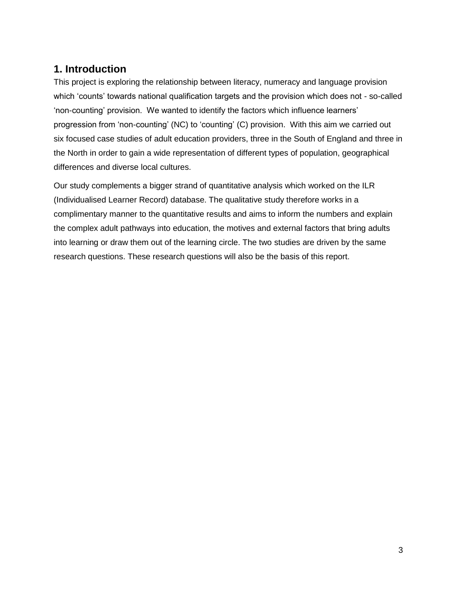# <span id="page-2-0"></span>**1. Introduction**

This project is exploring the relationship between literacy, numeracy and language provision which 'counts' towards national qualification targets and the provision which does not - so-called 'non-counting' provision. We wanted to identify the factors which influence learners' progression from 'non-counting' (NC) to 'counting' (C) provision. With this aim we carried out six focused case studies of adult education providers, three in the South of England and three in the North in order to gain a wide representation of different types of population, geographical differences and diverse local cultures.

Our study complements a bigger strand of quantitative analysis which worked on the ILR (Individualised Learner Record) database. The qualitative study therefore works in a complimentary manner to the quantitative results and aims to inform the numbers and explain the complex adult pathways into education, the motives and external factors that bring adults into learning or draw them out of the learning circle. The two studies are driven by the same research questions. These research questions will also be the basis of this report.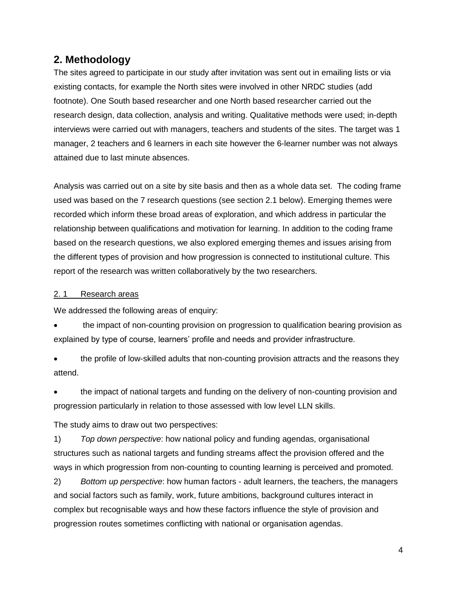# <span id="page-3-0"></span>**2. Methodology**

The sites agreed to participate in our study after invitation was sent out in emailing lists or via existing contacts, for example the North sites were involved in other NRDC studies (add footnote). One South based researcher and one North based researcher carried out the research design, data collection, analysis and writing. Qualitative methods were used; in-depth interviews were carried out with managers, teachers and students of the sites. The target was 1 manager, 2 teachers and 6 learners in each site however the 6-learner number was not always attained due to last minute absences.

Analysis was carried out on a site by site basis and then as a whole data set. The coding frame used was based on the 7 research questions (see section 2.1 below). Emerging themes were recorded which inform these broad areas of exploration, and which address in particular the relationship between qualifications and motivation for learning. In addition to the coding frame based on the research questions, we also explored emerging themes and issues arising from the different types of provision and how progression is connected to institutional culture. This report of the research was written collaboratively by the two researchers.

### <span id="page-3-1"></span>2.1 Research areas

We addressed the following areas of enquiry:

 the impact of non-counting provision on progression to qualification bearing provision as explained by type of course, learners' profile and needs and provider infrastructure.

 the profile of low-skilled adults that non-counting provision attracts and the reasons they attend.

 the impact of national targets and funding on the delivery of non-counting provision and progression particularly in relation to those assessed with low level LLN skills.

The study aims to draw out two perspectives:

1) *Top down perspective*: how national policy and funding agendas, organisational structures such as national targets and funding streams affect the provision offered and the ways in which progression from non-counting to counting learning is perceived and promoted.

2) *Bottom up perspective*: how human factors - adult learners, the teachers, the managers and social factors such as family, work, future ambitions, background cultures interact in complex but recognisable ways and how these factors influence the style of provision and progression routes sometimes conflicting with national or organisation agendas.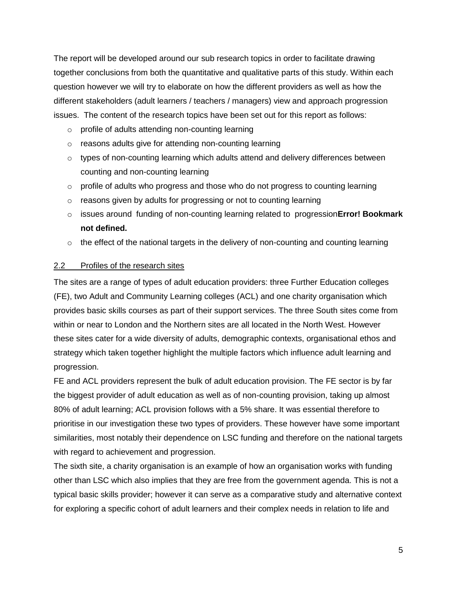The report will be developed around our sub research topics in order to facilitate drawing together conclusions from both the quantitative and qualitative parts of this study. Within each question however we will try to elaborate on how the different providers as well as how the different stakeholders (adult learners / teachers / managers) view and approach progression issues. The content of the research topics have been set out for this report as follows:

- o profile of adults attending non-counting learning
- o [reasons adults give for attending non-counting learning](#page-21-0)
- $\circ$  types of non-counting learning which adults attend and delivery differences between counting and non-counting learning
- $\circ$  profile of [adults who progress and those who do not progress to counting learning](#page-27-0)
- o reasons given by adults [for progressing or not to counting learning](#page-27-0)
- o issues around funding of non-counting learning related to progression**Error! Bookmark not defined.**
- o [the effect of the national targets in the delivery of non-counting and counting learning](#page-47-0)

### <span id="page-4-0"></span>2.2 Profiles of the research sites

The sites are a range of types of adult education providers: three Further Education colleges (FE), two Adult and Community Learning colleges (ACL) and one charity organisation which provides basic skills courses as part of their support services. The three South sites come from within or near to London and the Northern sites are all located in the North West. However these sites cater for a wide diversity of adults, demographic contexts, organisational ethos and strategy which taken together highlight the multiple factors which influence adult learning and progression.

FE and ACL providers represent the bulk of adult education provision. The FE sector is by far the biggest provider of adult education as well as of non-counting provision, taking up almost 80% of adult learning; ACL provision follows with a 5% share. It was essential therefore to prioritise in our investigation these two types of providers. These however have some important similarities, most notably their dependence on LSC funding and therefore on the national targets with regard to achievement and progression.

The sixth site, a charity organisation is an example of how an organisation works with funding other than LSC which also implies that they are free from the government agenda. This is not a typical basic skills provider; however it can serve as a comparative study and alternative context for exploring a specific cohort of adult learners and their complex needs in relation to life and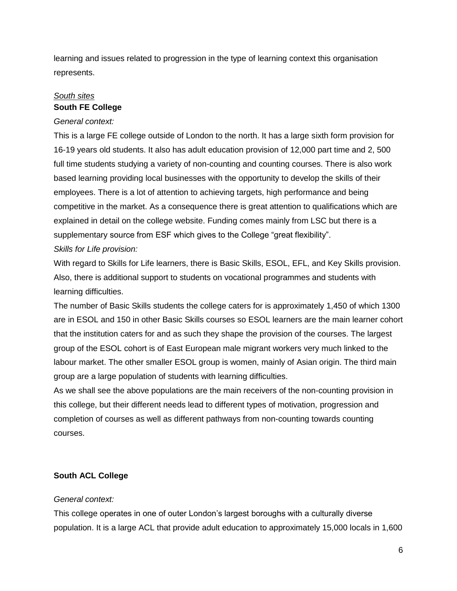learning and issues related to progression in the type of learning context this organisation represents.

# *South sites* **South FE College**

### *General context:*

This is a large FE college outside of London to the north. It has a large sixth form provision for 16-19 years old students. It also has adult education provision of 12,000 part time and 2, 500 full time students studying a variety of non-counting and counting courses. There is also work based learning providing local businesses with the opportunity to develop the skills of their employees. There is a lot of attention to achieving targets, high performance and being competitive in the market. As a consequence there is great attention to qualifications which are explained in detail on the college website. Funding comes mainly from LSC but there is a supplementary source from ESF which gives to the College "great flexibility". *Skills for Life provision:* 

With regard to Skills for Life learners, there is Basic Skills, ESOL, EFL, and Key Skills provision. Also, there is additional support to students on vocational programmes and students with learning difficulties.

The number of Basic Skills students the college caters for is approximately 1,450 of which 1300 are in ESOL and 150 in other Basic Skills courses so ESOL learners are the main learner cohort that the institution caters for and as such they shape the provision of the courses. The largest group of the ESOL cohort is of East European male migrant workers very much linked to the labour market. The other smaller ESOL group is women, mainly of Asian origin. The third main group are a large population of students with learning difficulties.

As we shall see the above populations are the main receivers of the non-counting provision in this college, but their different needs lead to different types of motivation, progression and completion of courses as well as different pathways from non-counting towards counting courses.

# **South ACL College**

### *General context:*

This college operates in one of outer London's largest boroughs with a culturally diverse population. It is a large ACL that provide adult education to approximately 15,000 locals in 1,600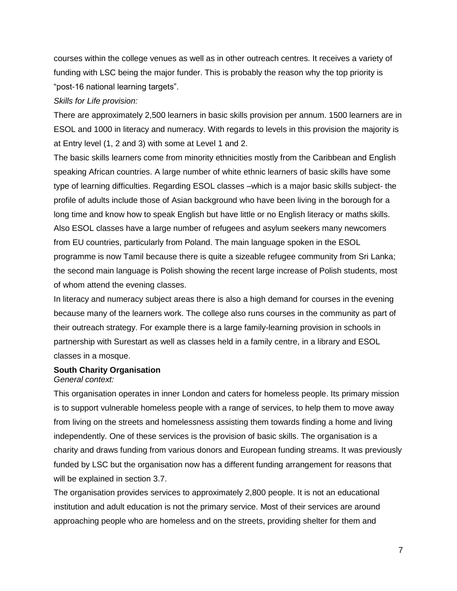courses within the college venues as well as in other outreach centres. It receives a variety of funding with LSC being the major funder. This is probably the reason why the top priority is "post-16 national learning targets".

### *Skills for Life provision:*

There are approximately 2,500 learners in basic skills provision per annum. 1500 learners are in ESOL and 1000 in literacy and numeracy. With regards to levels in this provision the majority is at Entry level (1, 2 and 3) with some at Level 1 and 2.

The basic skills learners come from minority ethnicities mostly from the Caribbean and English speaking African countries. A large number of white ethnic learners of basic skills have some type of learning difficulties. Regarding ESOL classes –which is a major basic skills subject- the profile of adults include those of Asian background who have been living in the borough for a long time and know how to speak English but have little or no English literacy or maths skills. Also ESOL classes have a large number of refugees and asylum seekers many newcomers from EU countries, particularly from Poland. The main language spoken in the ESOL programme is now Tamil because there is quite a sizeable refugee community from Sri Lanka; the second main language is Polish showing the recent large increase of Polish students, most of whom attend the evening classes.

In literacy and numeracy subject areas there is also a high demand for courses in the evening because many of the learners work. The college also runs courses in the community as part of their outreach strategy. For example there is a large family-learning provision in schools in partnership with Surestart as well as classes held in a family centre, in a library and ESOL classes in a mosque.

### **South Charity Organisation**

### *General context:*

This organisation operates in inner London and caters for homeless people. Its primary mission is to support vulnerable homeless people with a range of services, to help them to move away from living on the streets and homelessness assisting them towards finding a home and living independently. One of these services is the provision of basic skills. The organisation is a charity and draws funding from various donors and European funding streams. It was previously funded by LSC but the organisation now has a different funding arrangement for reasons that will be explained in section 3.7.

The organisation provides services to approximately 2,800 people. It is not an educational institution and adult education is not the primary service. Most of their services are around approaching people who are homeless and on the streets, providing shelter for them and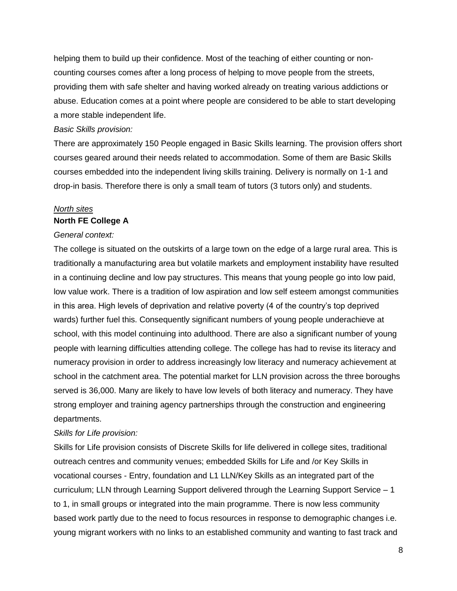helping them to build up their confidence. Most of the teaching of either counting or noncounting courses comes after a long process of helping to move people from the streets, providing them with safe shelter and having worked already on treating various addictions or abuse. Education comes at a point where people are considered to be able to start developing a more stable independent life.

### *Basic Skills provision:*

There are approximately 150 People engaged in Basic Skills learning. The provision offers short courses geared around their needs related to accommodation. Some of them are Basic Skills courses embedded into the independent living skills training. Delivery is normally on 1-1 and drop-in basis. Therefore there is only a small team of tutors (3 tutors only) and students.

### *North sites* **North FE College A**

### *General context:*

The college is situated on the outskirts of a large town on the edge of a large rural area. This is traditionally a manufacturing area but volatile markets and employment instability have resulted in a continuing decline and low pay structures. This means that young people go into low paid, low value work. There is a tradition of low aspiration and low self esteem amongst communities in this area. High levels of deprivation and relative poverty (4 of the country's top deprived wards) further fuel this. Consequently significant numbers of young people underachieve at school, with this model continuing into adulthood. There are also a significant number of young people with learning difficulties attending college. The college has had to revise its literacy and numeracy provision in order to address increasingly low literacy and numeracy achievement at school in the catchment area. The potential market for LLN provision across the three boroughs served is 36,000. Many are likely to have low levels of both literacy and numeracy. They have strong employer and training agency partnerships through the construction and engineering departments.

### *Skills for Life provision:*

Skills for Life provision consists of Discrete Skills for life delivered in college sites, traditional outreach centres and community venues; embedded Skills for Life and /or Key Skills in vocational courses - Entry, foundation and L1 LLN/Key Skills as an integrated part of the curriculum; LLN through Learning Support delivered through the Learning Support Service – 1 to 1, in small groups or integrated into the main programme. There is now less community based work partly due to the need to focus resources in response to demographic changes i.e. young migrant workers with no links to an established community and wanting to fast track and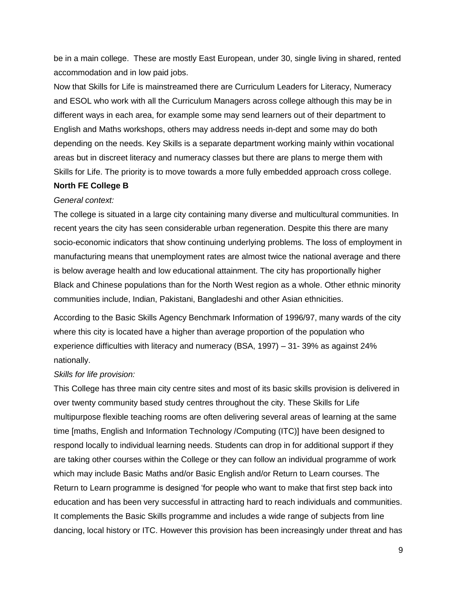be in a main college. These are mostly East European, under 30, single living in shared, rented accommodation and in low paid jobs.

Now that Skills for Life is mainstreamed there are Curriculum Leaders for Literacy, Numeracy and ESOL who work with all the Curriculum Managers across college although this may be in different ways in each area, for example some may send learners out of their department to English and Maths workshops, others may address needs in-dept and some may do both depending on the needs. Key Skills is a separate department working mainly within vocational areas but in discreet literacy and numeracy classes but there are plans to merge them with Skills for Life. The priority is to move towards a more fully embedded approach cross college.

### **North FE College B**

#### *General context:*

The college is situated in a large city containing many diverse and multicultural communities. In recent years the city has seen considerable urban regeneration. Despite this there are many socio-economic indicators that show continuing underlying problems. The loss of employment in manufacturing means that unemployment rates are almost twice the national average and there is below average health and low educational attainment. The city has proportionally higher Black and Chinese populations than for the North West region as a whole. Other ethnic minority communities include, Indian, Pakistani, Bangladeshi and other Asian ethnicities.

According to the Basic Skills Agency Benchmark Information of 1996/97, many wards of the city where this city is located have a higher than average proportion of the population who experience difficulties with literacy and numeracy (BSA, 1997) – 31- 39% as against 24% nationally.

### *Skills for life provision:*

This College has three main city centre sites and most of its basic skills provision is delivered in over twenty community based study centres throughout the city. These Skills for Life multipurpose flexible teaching rooms are often delivering several areas of learning at the same time [maths, English and Information Technology /Computing (ITC)] have been designed to respond locally to individual learning needs. Students can drop in for additional support if they are taking other courses within the College or they can follow an individual programme of work which may include Basic Maths and/or Basic English and/or Return to Learn courses. The Return to Learn programme is designed 'for people who want to make that first step back into education and has been very successful in attracting hard to reach individuals and communities. It complements the Basic Skills programme and includes a wide range of subjects from line dancing, local history or ITC. However this provision has been increasingly under threat and has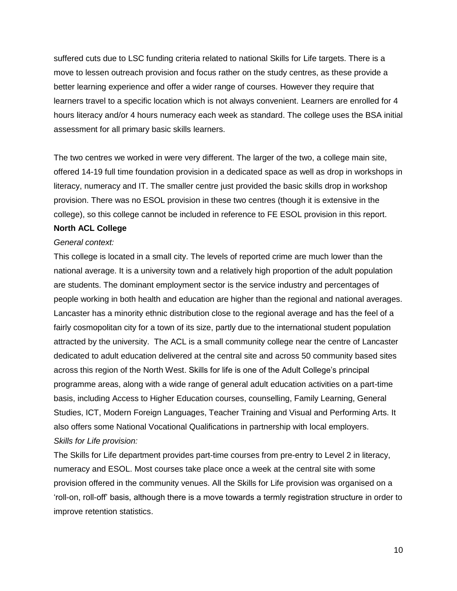suffered cuts due to LSC funding criteria related to national Skills for Life targets. There is a move to lessen outreach provision and focus rather on the study centres, as these provide a better learning experience and offer a wider range of courses. However they require that learners travel to a specific location which is not always convenient. Learners are enrolled for 4 hours literacy and/or 4 hours numeracy each week as standard. The college uses the BSA initial assessment for all primary basic skills learners.

The two centres we worked in were very different. The larger of the two, a college main site, offered 14-19 full time foundation provision in a dedicated space as well as drop in workshops in literacy, numeracy and IT. The smaller centre just provided the basic skills drop in workshop provision. There was no ESOL provision in these two centres (though it is extensive in the college), so this college cannot be included in reference to FE ESOL provision in this report.

### **North ACL College**

### *General context:*

This college is located in a small city. The levels of reported crime are much lower than the national average. It is a university town and a relatively high proportion of the adult population are students. The dominant employment sector is the service industry and percentages of people working in both health and education are higher than the regional and national averages. Lancaster has a minority ethnic distribution close to the regional average and has the feel of a fairly cosmopolitan city for a town of its size, partly due to the international student population attracted by the university. The ACL is a small community college near the centre of Lancaster dedicated to adult education delivered at the central site and across 50 community based sites across this region of the North West. Skills for life is one of the Adult College's principal programme areas, along with a wide range of general adult education activities on a part-time basis, including Access to Higher Education courses, counselling, Family Learning, General Studies, ICT, Modern Foreign Languages, Teacher Training and Visual and Performing Arts. It also offers some National Vocational Qualifications in partnership with local employers. *Skills for Life provision:* 

The Skills for Life department provides part-time courses from pre-entry to Level 2 in literacy, numeracy and ESOL. Most courses take place once a week at the central site with some provision offered in the community venues. All the Skills for Life provision was organised on a 'roll-on, roll-off' basis, although there is a move towards a termly registration structure in order to improve retention statistics.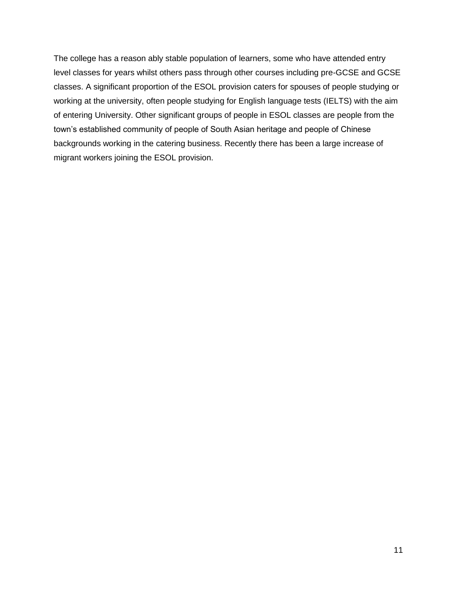The college has a reason ably stable population of learners, some who have attended entry level classes for years whilst others pass through other courses including pre-GCSE and GCSE classes. A significant proportion of the ESOL provision caters for spouses of people studying or working at the university, often people studying for English language tests (IELTS) with the aim of entering University. Other significant groups of people in ESOL classes are people from the town's established community of people of South Asian heritage and people of Chinese backgrounds working in the catering business. Recently there has been a large increase of migrant workers joining the ESOL provision.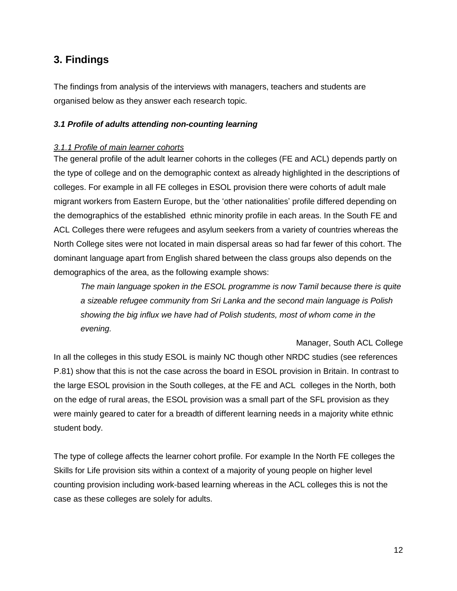# <span id="page-11-0"></span>**3. Findings**

The findings from analysis of the interviews with managers, teachers and students are organised below as they answer each research topic.

### <span id="page-11-1"></span>*3.1 Profile of adults attending non-counting learning*

### *3.1.1 Profile of main learner cohorts*

The general profile of the adult learner cohorts in the colleges (FE and ACL) depends partly on the type of college and on the demographic context as already highlighted in the descriptions of colleges. For example in all FE colleges in ESOL provision there were cohorts of adult male migrant workers from Eastern Europe, but the 'other nationalities' profile differed depending on the demographics of the established ethnic minority profile in each areas. In the South FE and ACL Colleges there were refugees and asylum seekers from a variety of countries whereas the North College sites were not located in main dispersal areas so had far fewer of this cohort. The dominant language apart from English shared between the class groups also depends on the demographics of the area, as the following example shows:

*The main language spoken in the ESOL programme is now Tamil because there is quite a sizeable refugee community from Sri Lanka and the second main language is Polish showing the big influx we have had of Polish students, most of whom come in the evening.*

Manager, South ACL College

In all the colleges in this study ESOL is mainly NC though other NRDC studies (see references P.81) show that this is not the case across the board in ESOL provision in Britain. In contrast to the large ESOL provision in the South colleges, at the FE and ACL colleges in the North, both on the edge of rural areas, the ESOL provision was a small part of the SFL provision as they were mainly geared to cater for a breadth of different learning needs in a majority white ethnic student body.

The type of college affects the learner cohort profile. For example In the North FE colleges the Skills for Life provision sits within a context of a majority of young people on higher level counting provision including work-based learning whereas in the ACL colleges this is not the case as these colleges are solely for adults.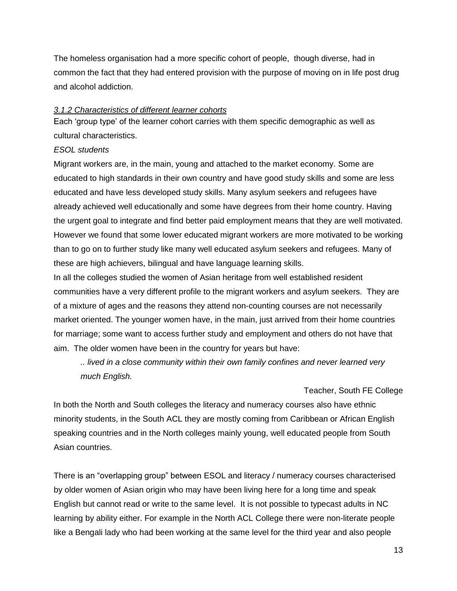The homeless organisation had a more specific cohort of people, though diverse, had in common the fact that they had entered provision with the purpose of moving on in life post drug and alcohol addiction.

### *3.1.2 Characteristics of different learner cohorts*

Each 'group type' of the learner cohort carries with them specific demographic as well as cultural characteristics.

### *ESOL students*

Migrant workers are, in the main, young and attached to the market economy. Some are educated to high standards in their own country and have good study skills and some are less educated and have less developed study skills. Many asylum seekers and refugees have already achieved well educationally and some have degrees from their home country. Having the urgent goal to integrate and find better paid employment means that they are well motivated. However we found that some lower educated migrant workers are more motivated to be working than to go on to further study like many well educated asylum seekers and refugees. Many of these are high achievers, bilingual and have language learning skills.

In all the colleges studied the women of Asian heritage from well established resident communities have a very different profile to the migrant workers and asylum seekers. They are of a mixture of ages and the reasons they attend non-counting courses are not necessarily market oriented. The younger women have, in the main, just arrived from their home countries for marriage; some want to access further study and employment and others do not have that aim. The older women have been in the country for years but have:

*.. lived in a close community within their own family confines and never learned very much English.* 

### Teacher, South FE College

In both the North and South colleges the literacy and numeracy courses also have ethnic minority students, in the South ACL they are mostly coming from Caribbean or African English speaking countries and in the North colleges mainly young, well educated people from South Asian countries.

There is an "overlapping group" between ESOL and literacy / numeracy courses characterised by older women of Asian origin who may have been living here for a long time and speak English but cannot read or write to the same level. It is not possible to typecast adults in NC learning by ability either. For example in the North ACL College there were non-literate people like a Bengali lady who had been working at the same level for the third year and also people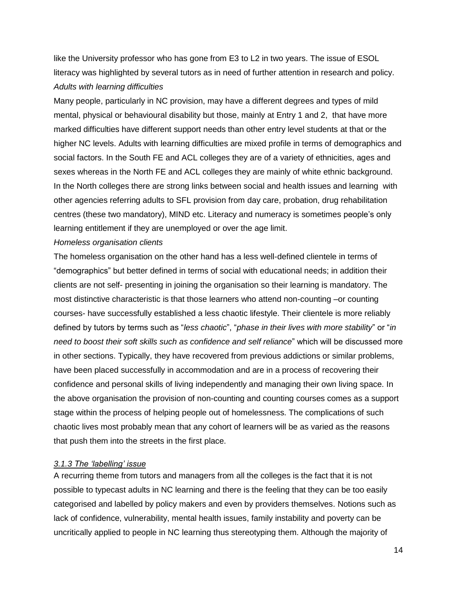like the University professor who has gone from E3 to L2 in two years. The issue of ESOL literacy was highlighted by several tutors as in need of further attention in research and policy. *Adults with learning difficulties*

Many people, particularly in NC provision, may have a different degrees and types of mild mental, physical or behavioural disability but those, mainly at Entry 1 and 2, that have more marked difficulties have different support needs than other entry level students at that or the higher NC levels. Adults with learning difficulties are mixed profile in terms of demographics and social factors. In the South FE and ACL colleges they are of a variety of ethnicities, ages and sexes whereas in the North FE and ACL colleges they are mainly of white ethnic background. In the North colleges there are strong links between social and health issues and learning with other agencies referring adults to SFL provision from day care, probation, drug rehabilitation centres (these two mandatory), MIND etc. Literacy and numeracy is sometimes people's only learning entitlement if they are unemployed or over the age limit.

#### *Homeless organisation clients*

The homeless organisation on the other hand has a less well-defined clientele in terms of "demographics" but better defined in terms of social with educational needs; in addition their clients are not self- presenting in joining the organisation so their learning is mandatory. The most distinctive characteristic is that those learners who attend non-counting –or counting courses- have successfully established a less chaotic lifestyle. Their clientele is more reliably defined by tutors by terms such as "*less chaotic*", "*phase in their lives with more stability*" or "*in need to boost their soft skills such as confidence and self reliance*" which will be discussed more in other sections. Typically, they have recovered from previous addictions or similar problems, have been placed successfully in accommodation and are in a process of recovering their confidence and personal skills of living independently and managing their own living space. In the above organisation the provision of non-counting and counting courses comes as a support stage within the process of helping people out of homelessness. The complications of such chaotic lives most probably mean that any cohort of learners will be as varied as the reasons that push them into the streets in the first place.

### *3.1.3 The 'labelling' issue*

A recurring theme from tutors and managers from all the colleges is the fact that it is not possible to typecast adults in NC learning and there is the feeling that they can be too easily categorised and labelled by policy makers and even by providers themselves. Notions such as lack of confidence, vulnerability, mental health issues, family instability and poverty can be uncritically applied to people in NC learning thus stereotyping them. Although the majority of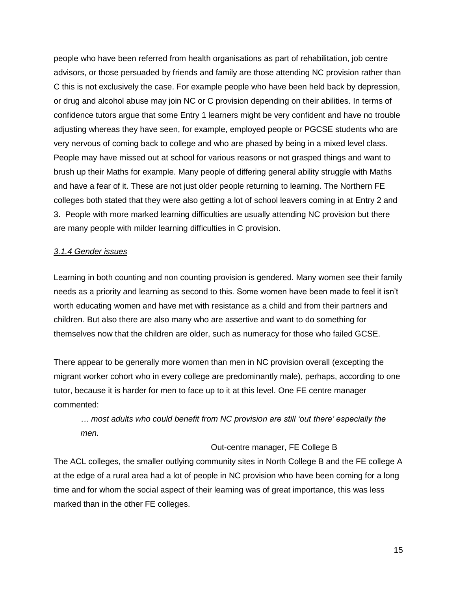people who have been referred from health organisations as part of rehabilitation, job centre advisors, or those persuaded by friends and family are those attending NC provision rather than C this is not exclusively the case. For example people who have been held back by depression, or drug and alcohol abuse may join NC or C provision depending on their abilities. In terms of confidence tutors argue that some Entry 1 learners might be very confident and have no trouble adjusting whereas they have seen, for example, employed people or PGCSE students who are very nervous of coming back to college and who are phased by being in a mixed level class. People may have missed out at school for various reasons or not grasped things and want to brush up their Maths for example. Many people of differing general ability struggle with Maths and have a fear of it. These are not just older people returning to learning. The Northern FE colleges both stated that they were also getting a lot of school leavers coming in at Entry 2 and 3. People with more marked learning difficulties are usually attending NC provision but there are many people with milder learning difficulties in C provision.

### *3.1.4 Gender issues*

Learning in both counting and non counting provision is gendered. Many women see their family needs as a priority and learning as second to this. Some women have been made to feel it isn't worth educating women and have met with resistance as a child and from their partners and children. But also there are also many who are assertive and want to do something for themselves now that the children are older, such as numeracy for those who failed GCSE.

There appear to be generally more women than men in NC provision overall (excepting the migrant worker cohort who in every college are predominantly male), perhaps, according to one tutor, because it is harder for men to face up to it at this level. One FE centre manager commented:

*… most adults who could benefit from NC provision are still 'out there' especially the men.*

### Out-centre manager, FE College B

The ACL colleges, the smaller outlying community sites in North College B and the FE college A at the edge of a rural area had a lot of people in NC provision who have been coming for a long time and for whom the social aspect of their learning was of great importance, this was less marked than in the other FE colleges.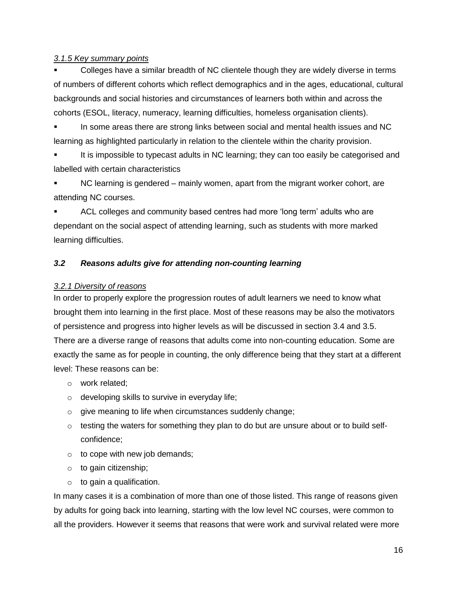### *3.1.5 Key summary points*

 Colleges have a similar breadth of NC clientele though they are widely diverse in terms of numbers of different cohorts which reflect demographics and in the ages, educational, cultural backgrounds and social histories and circumstances of learners both within and across the cohorts (ESOL, literacy, numeracy, learning difficulties, homeless organisation clients).

 In some areas there are strong links between social and mental health issues and NC learning as highlighted particularly in relation to the clientele within the charity provision.

 It is impossible to typecast adults in NC learning; they can too easily be categorised and labelled with certain characteristics

 NC learning is gendered – mainly women, apart from the migrant worker cohort, are attending NC courses.

 ACL colleges and community based centres had more 'long term' adults who are dependant on the social aspect of attending learning, such as students with more marked learning difficulties.

# <span id="page-15-0"></span>*3.2 Reasons adults give for attending non-counting learning*

### *3.2.1 Diversity of reasons*

In order to properly explore the progression routes of adult learners we need to know what brought them into learning in the first place. Most of these reasons may be also the motivators of persistence and progress into higher levels as will be discussed in section 3.4 and 3.5. There are a diverse range of reasons that adults come into non-counting education. Some are exactly the same as for people in counting, the only difference being that they start at a different level: These reasons can be:

- o work related;
- $\circ$  developing skills to survive in everyday life;
- o give meaning to life when circumstances suddenly change;
- $\circ$  testing the waters for something they plan to do but are unsure about or to build selfconfidence;
- $\circ$  to cope with new job demands;
- o to gain citizenship;
- $\circ$  to gain a qualification.

In many cases it is a combination of more than one of those listed. This range of reasons given by adults for going back into learning, starting with the low level NC courses, were common to all the providers. However it seems that reasons that were work and survival related were more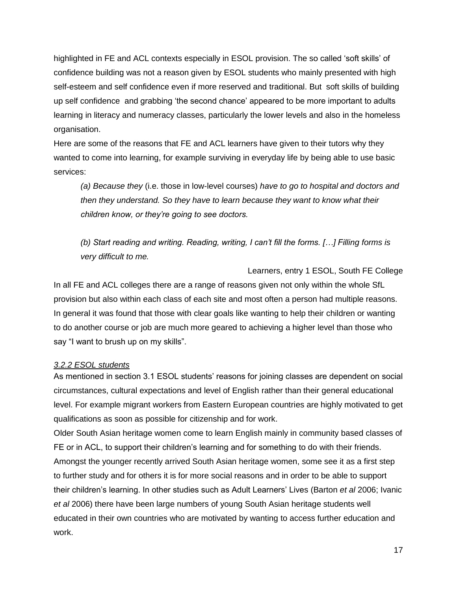highlighted in FE and ACL contexts especially in ESOL provision. The so called 'soft skills' of confidence building was not a reason given by ESOL students who mainly presented with high self-esteem and self confidence even if more reserved and traditional. But soft skills of building up self confidence and grabbing 'the second chance' appeared to be more important to adults learning in literacy and numeracy classes, particularly the lower levels and also in the homeless organisation.

Here are some of the reasons that FE and ACL learners have given to their tutors why they wanted to come into learning, for example surviving in everyday life by being able to use basic services:

*(a) Because they* (i.e. those in low-level courses) *have to go to hospital and doctors and then they understand. So they have to learn because they want to know what their children know, or they're going to see doctors.*

*(b) Start reading and writing. Reading, writing, I can't fill the forms. […] Filling forms is very difficult to me.*

Learners, entry 1 ESOL, South FE College In all FE and ACL colleges there are a range of reasons given not only within the whole SfL provision but also within each class of each site and most often a person had multiple reasons. In general it was found that those with clear goals like wanting to help their children or wanting to do another course or job are much more geared to achieving a higher level than those who say "I want to brush up on my skills".

### *3.2.2 ESOL students*

As mentioned in section 3.1 ESOL students' reasons for joining classes are dependent on social circumstances, cultural expectations and level of English rather than their general educational level. For example migrant workers from Eastern European countries are highly motivated to get qualifications as soon as possible for citizenship and for work.

Older South Asian heritage women come to learn English mainly in community based classes of FE or in ACL, to support their children's learning and for something to do with their friends. Amongst the younger recently arrived South Asian heritage women, some see it as a first step to further study and for others it is for more social reasons and in order to be able to support their children's learning. In other studies such as Adult Learners' Lives (Barton *et al* 2006; Ivanic *et al* 2006) there have been large numbers of young South Asian heritage students well educated in their own countries who are motivated by wanting to access further education and work.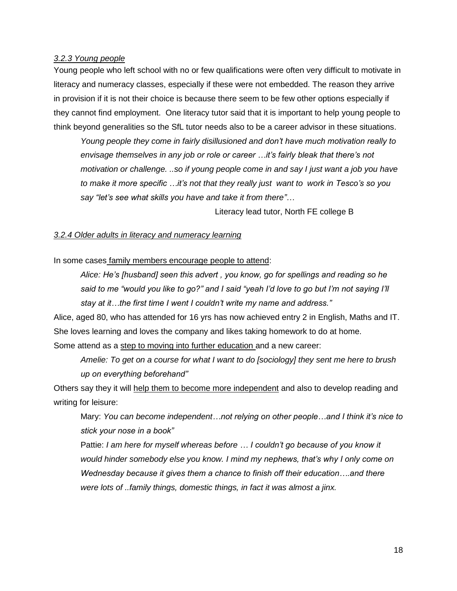### *3.2.3 Young people*

Young people who left school with no or few qualifications were often very difficult to motivate in literacy and numeracy classes, especially if these were not embedded. The reason they arrive in provision if it is not their choice is because there seem to be few other options especially if they cannot find employment. One literacy tutor said that it is important to help young people to think beyond generalities so the SfL tutor needs also to be a career advisor in these situations.

*Young people they come in fairly disillusioned and don't have much motivation really to envisage themselves in any job or role or career …it's fairly bleak that there's not motivation or challenge. ..so if young people come in and say I just want a job you have to make it more specific …it's not that they really just want to work in Tesco's so you say "let's see what skills you have and take it from there"…*

Literacy lead tutor, North FE college B

### *3.2.4 Older adults in literacy and numeracy learning*

### In some cases family members encourage people to attend:

*Alice: He's [husband] seen this advert , you know, go for spellings and reading so he said to me "would you like to go?" and I said "yeah I'd love to go but I'm not saying I'll stay at it…the first time I went I couldn't write my name and address."*

Alice, aged 80, who has attended for 16 yrs has now achieved entry 2 in English, Maths and IT. She loves learning and loves the company and likes taking homework to do at home. Some attend as a step to moving into further education and a new career:

*Amelie: To get on a course for what I want to do [sociology] they sent me here to brush up on everything beforehand"* 

Others say they it will help them to become more independent and also to develop reading and writing for leisure:

Mary: *You can become independent…not relying on other people…and I think it's nice to stick your nose in a book"*

Pattie: *I am here for myself whereas before … I couldn't go because of you know it would hinder somebody else you know. I mind my nephews, that's why I only come on Wednesday because it gives them a chance to finish off their education….and there were lots of ..family things, domestic things, in fact it was almost a jinx.*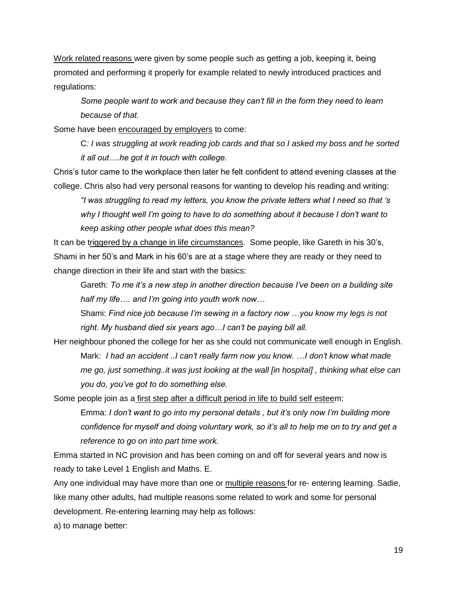Work related reasons were given by some people such as getting a job, keeping it, being promoted and performing it properly for example related to newly introduced practices and regulations:

*Some people want to work and because they can't fill in the form they need to learn because of that.*

Some have been encouraged by employers to come:

C*: I was struggling at work reading job cards and that so I asked my boss and he sorted it all out….he got it in touch with college.* 

Chris's tutor came to the workplace then later he felt confident to attend evening classes at the college. Chris also had very personal reasons for wanting to develop his reading and writing:

*"I was struggling to read my letters, you know the private letters what I need so that 's why I thought well I'm going to have to do something about it because I don't want to keep asking other people what does this mean?*

It can be triggered by a change in life circumstances. Some people, like Gareth in his 30's, Shami in her 50's and Mark in his 60's are at a stage where they are ready or they need to change direction in their life and start with the basics:

Gareth: *To me it's a new step in another direction because I've been on a building site half my life…. and I'm going into youth work now…*

Shami: *Find nice job because I'm sewing in a factory now …you know my legs is not right. My husband died six years ago…I can't be paying bill all.*

Her neighbour phoned the college for her as she could not communicate well enough in English. Mark: *I had an accident ..I can't really farm now you know. …I don't know what made me go, just something..it was just looking at the wall [in hospital] , thinking what else can you do, you've got to do something else.*

Some people join as a first step after a difficult period in life to build self esteem:

Emma: *I don't want to go into my personal details , but it's only now I'm building more confidence for myself and doing voluntary work, so it's all to help me on to try and get a reference to go on into part time work.*

Emma started in NC provision and has been coming on and off for several years and now is ready to take Level 1 English and Maths. E.

Any one individual may have more than one or multiple reasons for re- entering learning. Sadie, like many other adults, had multiple reasons some related to work and some for personal development. Re-entering learning may help as follows:

a) to manage better: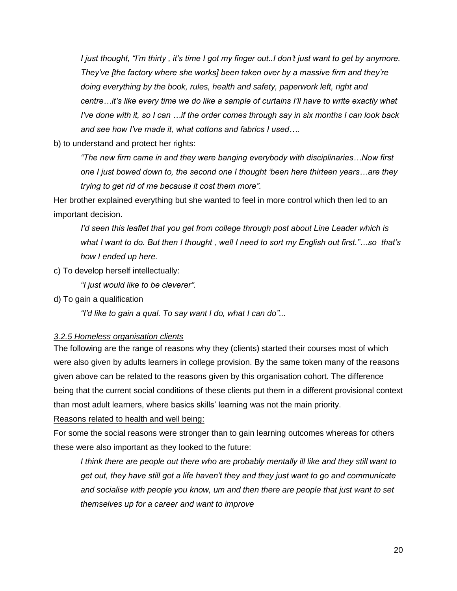*I just thought, "I'm thirty , it's time I got my finger out..I don't just want to get by anymore. They've [the factory where she works] been taken over by a massive firm and they're doing everything by the book, rules, health and safety, paperwork left, right and centre…it's like every time we do like a sample of curtains I'll have to write exactly what I've done with it, so I can …if the order comes through say in six months I can look back and see how I've made it, what cottons and fabrics I used….*

b) to understand and protect her rights:

*"The new firm came in and they were banging everybody with disciplinaries…Now first one I just bowed down to, the second one I thought 'been here thirteen years…are they trying to get rid of me because it cost them more".* 

Her brother explained everything but she wanted to feel in more control which then led to an important decision.

*I'd seen this leaflet that you get from college through post about Line Leader which is what I want to do. But then I thought , well I need to sort my English out first."…so that's how I ended up here.*

c) To develop herself intellectually:

*"I just would like to be cleverer".* 

d) To gain a qualification

*"I'd like to gain a qual. To say want I do, what I can do"...*

### *3.2.5 Homeless organisation clients*

The following are the range of reasons why they (clients) started their courses most of which were also given by adults learners in college provision. By the same token many of the reasons given above can be related to the reasons given by this organisation cohort. The difference being that the current social conditions of these clients put them in a different provisional context than most adult learners, where basics skills' learning was not the main priority.

### Reasons related to health and well being:

For some the social reasons were stronger than to gain learning outcomes whereas for others these were also important as they looked to the future:

*I think there are people out there who are probably mentally ill like and they still want to get out, they have still got a life haven't they and they just want to go and communicate and socialise with people you know, um and then there are people that just want to set themselves up for a career and want to improve*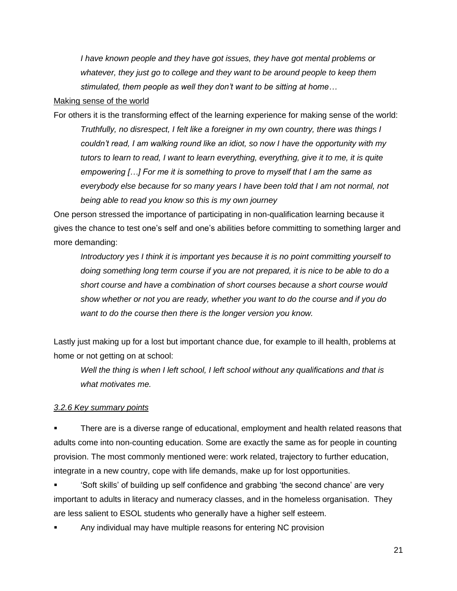*I have known people and they have got issues, they have got mental problems or whatever, they just go to college and they want to be around people to keep them stimulated, them people as well they don't want to be sitting at home…*

#### Making sense of the world

For others it is the transforming effect of the learning experience for making sense of the world: *Truthfully, no disrespect, I felt like a foreigner in my own country, there was things I couldn't read, I am walking round like an idiot, so now I have the opportunity with my tutors to learn to read, I want to learn everything, everything, give it to me, it is quite empowering […] For me it is something to prove to myself that I am the same as*  everybody else because for so many years I have been told that I am not normal, not *being able to read you know so this is my own journey*

One person stressed the importance of participating in non-qualification learning because it gives the chance to test one's self and one's abilities before committing to something larger and more demanding:

*Introductory yes I think it is important yes because it is no point committing yourself to doing something long term course if you are not prepared, it is nice to be able to do a short course and have a combination of short courses because a short course would show whether or not you are ready, whether you want to do the course and if you do want to do the course then there is the longer version you know.* 

Lastly just making up for a lost but important chance due, for example to ill health, problems at home or not getting on at school:

*Well the thing is when I left school, I left school without any qualifications and that is what motivates me.* 

### *3.2.6 Key summary points*

 There are is a diverse range of educational, employment and health related reasons that adults come into non-counting education. Some are exactly the same as for people in counting provision. The most commonly mentioned were: work related, trajectory to further education, integrate in a new country, cope with life demands, make up for lost opportunities.

 'Soft skills' of building up self confidence and grabbing 'the second chance' are very important to adults in literacy and numeracy classes, and in the homeless organisation. They are less salient to ESOL students who generally have a higher self esteem.

Any individual may have multiple reasons for entering NC provision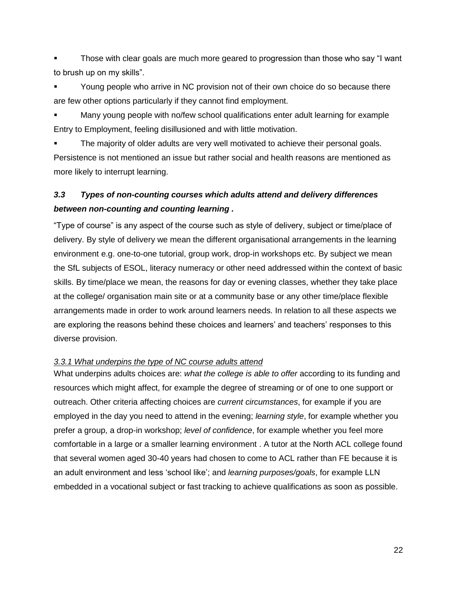Those with clear goals are much more geared to progression than those who say "I want to brush up on my skills".

 Young people who arrive in NC provision not of their own choice do so because there are few other options particularly if they cannot find employment.

 Many young people with no/few school qualifications enter adult learning for example Entry to Employment, feeling disillusioned and with little motivation.

 The majority of older adults are very well motivated to achieve their personal goals. Persistence is not mentioned an issue but rather social and health reasons are mentioned as more likely to interrupt learning.

# <span id="page-21-0"></span>*3.3 Types of non-counting courses which adults attend and delivery differences between non-counting and counting learning .*

"Type of course" is any aspect of the course such as style of delivery, subject or time/place of delivery. By style of delivery we mean the different organisational arrangements in the learning environment e.g. one-to-one tutorial, group work, drop-in workshops etc. By subject we mean the SfL subjects of ESOL, literacy numeracy or other need addressed within the context of basic skills. By time/place we mean, the reasons for day or evening classes, whether they take place at the college/ organisation main site or at a community base or any other time/place flexible arrangements made in order to work around learners needs. In relation to all these aspects we are exploring the reasons behind these choices and learners' and teachers' responses to this diverse provision.

### *3.3.1 What underpins the type of NC course adults attend*

What underpins adults choices are: *what the college is able to offer* according to its funding and resources which might affect, for example the degree of streaming or of one to one support or outreach. Other criteria affecting choices are *current circumstances*, for example if you are employed in the day you need to attend in the evening; *learning style*, for example whether you prefer a group, a drop-in workshop; *level of confidence*, for example whether you feel more comfortable in a large or a smaller learning environment . A tutor at the North ACL college found that several women aged 30-40 years had chosen to come to ACL rather than FE because it is an adult environment and less 'school like'; and *learning purposes/goals*, for example LLN embedded in a vocational subject or fast tracking to achieve qualifications as soon as possible.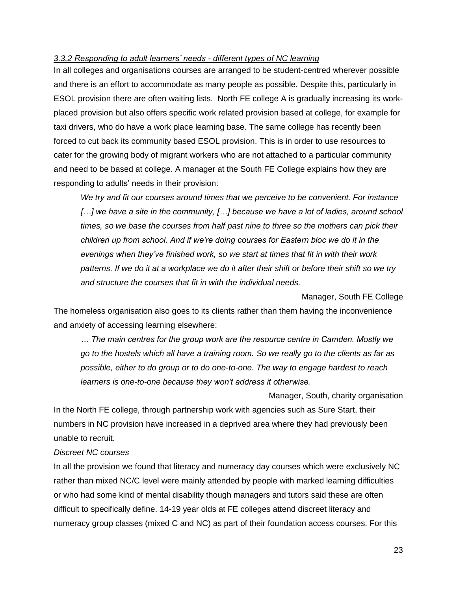### *3.3.2 Responding to adult learners' needs - different types of NC learning*

In all colleges and organisations courses are arranged to be student-centred wherever possible and there is an effort to accommodate as many people as possible. Despite this, particularly in ESOL provision there are often waiting lists. North FE college A is gradually increasing its workplaced provision but also offers specific work related provision based at college, for example for taxi drivers, who do have a work place learning base. The same college has recently been forced to cut back its community based ESOL provision. This is in order to use resources to cater for the growing body of migrant workers who are not attached to a particular community and need to be based at college. A manager at the South FE College explains how they are responding to adults' needs in their provision:

*We try and fit our courses around times that we perceive to be convenient. For instance*  [...] we have a site in the community, [...] because we have a lot of ladies, around school *times, so we base the courses from half past nine to three so the mothers can pick their children up from school. And if we're doing courses for Eastern bloc we do it in the evenings when they've finished work, so we start at times that fit in with their work patterns. If we do it at a workplace we do it after their shift or before their shift so we try and structure the courses that fit in with the individual needs.*

Manager, South FE College

Manager, South, charity organisation

The homeless organisation also goes to its clients rather than them having the inconvenience and anxiety of accessing learning elsewhere:

*… The main centres for the group work are the resource centre in Camden. Mostly we go to the hostels which all have a training room. So we really go to the clients as far as possible, either to do group or to do one-to-one. The way to engage hardest to reach learners is one-to-one because they won't address it otherwise.* 

In the North FE college, through partnership work with agencies such as Sure Start, their numbers in NC provision have increased in a deprived area where they had previously been unable to recruit.

### *Discreet NC courses*

In all the provision we found that literacy and numeracy day courses which were exclusively NC rather than mixed NC/C level were mainly attended by people with marked learning difficulties or who had some kind of mental disability though managers and tutors said these are often difficult to specifically define. 14-19 year olds at FE colleges attend discreet literacy and numeracy group classes (mixed C and NC) as part of their foundation access courses. For this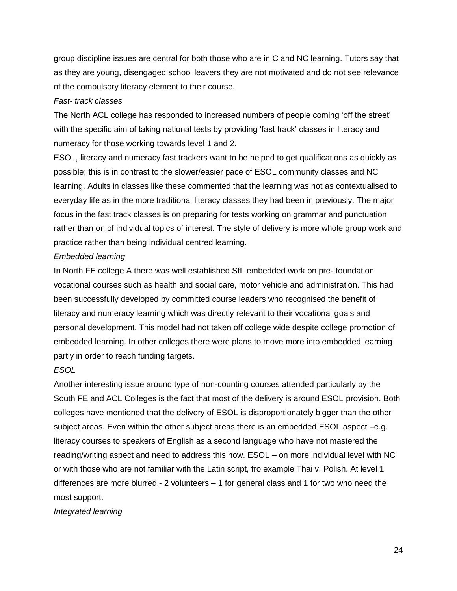group discipline issues are central for both those who are in C and NC learning. Tutors say that as they are young, disengaged school leavers they are not motivated and do not see relevance of the compulsory literacy element to their course.

#### *Fast- track classes*

The North ACL college has responded to increased numbers of people coming 'off the street' with the specific aim of taking national tests by providing 'fast track' classes in literacy and numeracy for those working towards level 1 and 2.

ESOL, literacy and numeracy fast trackers want to be helped to get qualifications as quickly as possible; this is in contrast to the slower/easier pace of ESOL community classes and NC learning. Adults in classes like these commented that the learning was not as contextualised to everyday life as in the more traditional literacy classes they had been in previously. The major focus in the fast track classes is on preparing for tests working on grammar and punctuation rather than on of individual topics of interest. The style of delivery is more whole group work and practice rather than being individual centred learning.

### *Embedded learning*

In North FE college A there was well established SfL embedded work on pre- foundation vocational courses such as health and social care, motor vehicle and administration. This had been successfully developed by committed course leaders who recognised the benefit of literacy and numeracy learning which was directly relevant to their vocational goals and personal development. This model had not taken off college wide despite college promotion of embedded learning. In other colleges there were plans to move more into embedded learning partly in order to reach funding targets.

### *ESOL*

Another interesting issue around type of non-counting courses attended particularly by the South FE and ACL Colleges is the fact that most of the delivery is around ESOL provision. Both colleges have mentioned that the delivery of ESOL is disproportionately bigger than the other subject areas. Even within the other subject areas there is an embedded ESOL aspect –e.g. literacy courses to speakers of English as a second language who have not mastered the reading/writing aspect and need to address this now. ESOL – on more individual level with NC or with those who are not familiar with the Latin script, fro example Thai v. Polish. At level 1 differences are more blurred.- 2 volunteers – 1 for general class and 1 for two who need the most support.

*Integrated learning*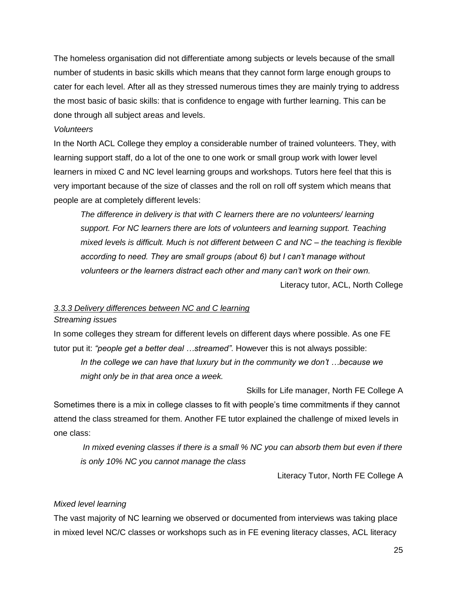The homeless organisation did not differentiate among subjects or levels because of the small number of students in basic skills which means that they cannot form large enough groups to cater for each level. After all as they stressed numerous times they are mainly trying to address the most basic of basic skills: that is confidence to engage with further learning. This can be done through all subject areas and levels.

### *Volunteers*

In the North ACL College they employ a considerable number of trained volunteers. They, with learning support staff, do a lot of the one to one work or small group work with lower level learners in mixed C and NC level learning groups and workshops. Tutors here feel that this is very important because of the size of classes and the roll on roll off system which means that people are at completely different levels:

*The difference in delivery is that with C learners there are no volunteers/ learning support. For NC learners there are lots of volunteers and learning support. Teaching mixed levels is difficult. Much is not different between C and NC – the teaching is flexible according to need. They are small groups (about 6) but I can't manage without volunteers or the learners distract each other and many can't work on their own.* Literacy tutor, ACL, North College

### *3.3.3 Delivery differences between NC and C learning*

### *Streaming issues*

In some colleges they stream for different levels on different days where possible. As one FE tutor put it: *"people get a better deal …streamed"*. However this is not always possible:

*In the college we can have that luxury but in the community we don't …because we might only be in that area once a week.* 

Skills for Life manager, North FE College A

Sometimes there is a mix in college classes to fit with people's time commitments if they cannot attend the class streamed for them. Another FE tutor explained the challenge of mixed levels in one class:

*In mixed evening classes if there is a small % NC you can absorb them but even if there is only 10% NC you cannot manage the class*

Literacy Tutor, North FE College A

### *Mixed level learning*

The vast majority of NC learning we observed or documented from interviews was taking place in mixed level NC/C classes or workshops such as in FE evening literacy classes, ACL literacy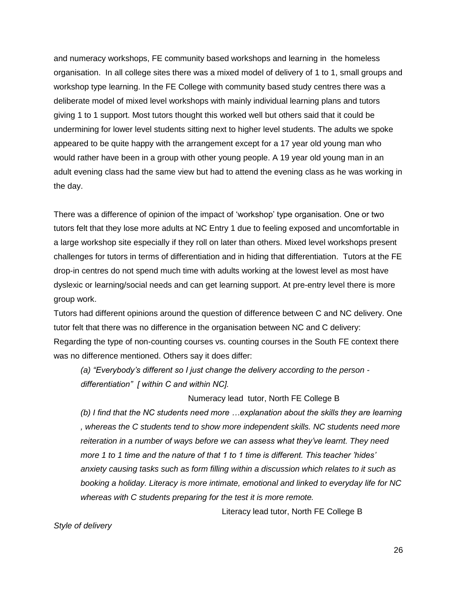and numeracy workshops, FE community based workshops and learning in the homeless organisation. In all college sites there was a mixed model of delivery of 1 to 1, small groups and workshop type learning. In the FE College with community based study centres there was a deliberate model of mixed level workshops with mainly individual learning plans and tutors giving 1 to 1 support. Most tutors thought this worked well but others said that it could be undermining for lower level students sitting next to higher level students. The adults we spoke appeared to be quite happy with the arrangement except for a 17 year old young man who would rather have been in a group with other young people. A 19 year old young man in an adult evening class had the same view but had to attend the evening class as he was working in the day.

There was a difference of opinion of the impact of 'workshop' type organisation. One or two tutors felt that they lose more adults at NC Entry 1 due to feeling exposed and uncomfortable in a large workshop site especially if they roll on later than others. Mixed level workshops present challenges for tutors in terms of differentiation and in hiding that differentiation. Tutors at the FE drop-in centres do not spend much time with adults working at the lowest level as most have dyslexic or learning/social needs and can get learning support. At pre-entry level there is more group work.

Tutors had different opinions around the question of difference between C and NC delivery. One tutor felt that there was no difference in the organisation between NC and C delivery: Regarding the type of non-counting courses vs. counting courses in the South FE context there was no difference mentioned. Others say it does differ:

*(a) "Everybody's different so I just change the delivery according to the person differentiation" [ within C and within NC].*

Numeracy lead tutor, North FE College B

*(b) I find that the NC students need more …explanation about the skills they are learning , whereas the C students tend to show more independent skills. NC students need more reiteration in a number of ways before we can assess what they've learnt. They need more 1 to 1 time and the nature of that 1 to 1 time is different. This teacher 'hides' anxiety causing tasks such as form filling within a discussion which relates to it such as booking a holiday. Literacy is more intimate, emotional and linked to everyday life for NC whereas with C students preparing for the test it is more remote.* 

Literacy lead tutor, North FE College B

*Style of delivery*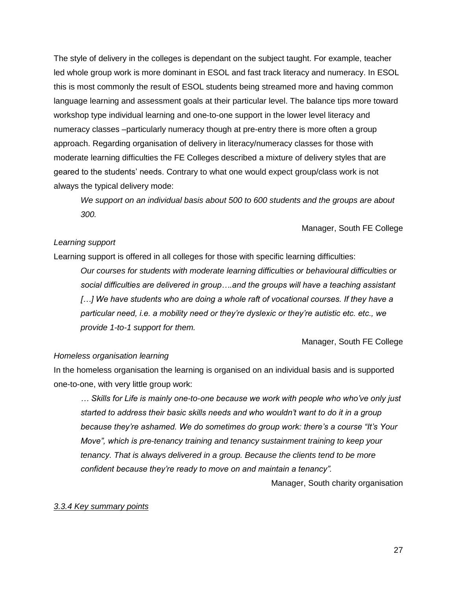The style of delivery in the colleges is dependant on the subject taught. For example, teacher led whole group work is more dominant in ESOL and fast track literacy and numeracy. In ESOL this is most commonly the result of ESOL students being streamed more and having common language learning and assessment goals at their particular level. The balance tips more toward workshop type individual learning and one-to-one support in the lower level literacy and numeracy classes –particularly numeracy though at pre-entry there is more often a group approach. Regarding organisation of delivery in literacy/numeracy classes for those with moderate learning difficulties the FE Colleges described a mixture of delivery styles that are geared to the students' needs. Contrary to what one would expect group/class work is not always the typical delivery mode:

*We support on an individual basis about 500 to 600 students and the groups are about 300.*

Manager, South FE College

### *Learning support*

Learning support is offered in all colleges for those with specific learning difficulties:

*Our courses for students with moderate learning difficulties or behavioural difficulties or social difficulties are delivered in group….and the groups will have a teaching assistant*  [...] We have students who are doing a whole raft of vocational courses. If they have a *particular need, i.e. a mobility need or they're dyslexic or they're autistic etc. etc., we provide 1-to-1 support for them.* 

Manager, South FE College

#### *Homeless organisation learning*

In the homeless organisation the learning is organised on an individual basis and is supported one-to-one, with very little group work:

*… Skills for Life is mainly one-to-one because we work with people who who've only just started to address their basic skills needs and who wouldn't want to do it in a group because they're ashamed. We do sometimes do group work: there's a course "It's Your Move", which is pre-tenancy training and tenancy sustainment training to keep your tenancy. That is always delivered in a group. Because the clients tend to be more confident because they're ready to move on and maintain a tenancy".* 

Manager, South charity organisation

#### *3.3.4 Key summary points*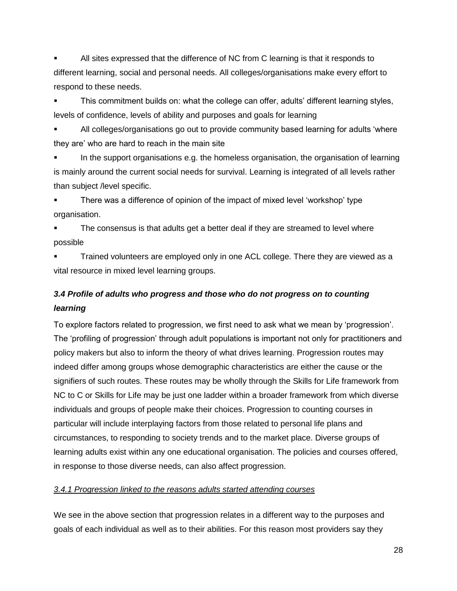All sites expressed that the difference of NC from C learning is that it responds to different learning, social and personal needs. All colleges/organisations make every effort to respond to these needs.

 This commitment builds on: what the college can offer, adults' different learning styles, levels of confidence, levels of ability and purposes and goals for learning

 All colleges/organisations go out to provide community based learning for adults 'where they are' who are hard to reach in the main site

 In the support organisations e.g. the homeless organisation, the organisation of learning is mainly around the current social needs for survival. Learning is integrated of all levels rather than subject /level specific.

 There was a difference of opinion of the impact of mixed level 'workshop' type organisation.

 The consensus is that adults get a better deal if they are streamed to level where possible

 Trained volunteers are employed only in one ACL college. There they are viewed as a vital resource in mixed level learning groups.

# <span id="page-27-0"></span>*3.4 Profile of adults who progress and those who do not progress on to counting learning*

To explore factors related to progression, we first need to ask what we mean by 'progression'. The 'profiling of progression' through adult populations is important not only for practitioners and policy makers but also to inform the theory of what drives learning. Progression routes may indeed differ among groups whose demographic characteristics are either the cause or the signifiers of such routes. These routes may be wholly through the Skills for Life framework from NC to C or Skills for Life may be just one ladder within a broader framework from which diverse individuals and groups of people make their choices. Progression to counting courses in particular will include interplaying factors from those related to personal life plans and circumstances, to responding to society trends and to the market place. Diverse groups of learning adults exist within any one educational organisation. The policies and courses offered, in response to those diverse needs, can also affect progression.

# *3.4.1 Progression linked to the reasons adults started attending courses*

We see in the above section that progression relates in a different way to the purposes and goals of each individual as well as to their abilities. For this reason most providers say they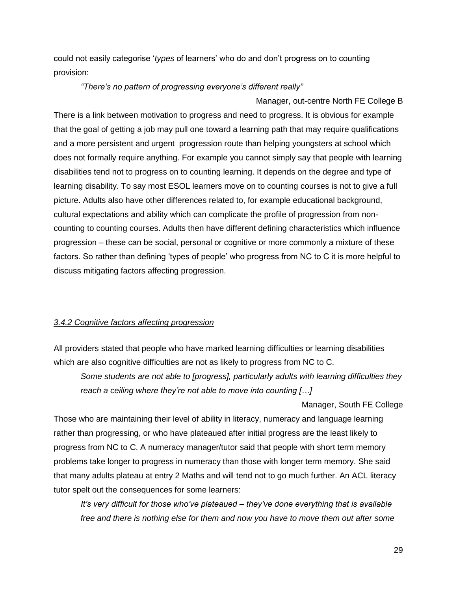could not easily categorise '*types* of learners' who do and don't progress on to counting provision:

### *"There's no pattern of progressing everyone's different really"*

Manager, out-centre North FE College B

There is a link between motivation to progress and need to progress. It is obvious for example that the goal of getting a job may pull one toward a learning path that may require qualifications and a more persistent and urgent progression route than helping youngsters at school which does not formally require anything. For example you cannot simply say that people with learning disabilities tend not to progress on to counting learning. It depends on the degree and type of learning disability. To say most ESOL learners move on to counting courses is not to give a full picture. Adults also have other differences related to, for example educational background, cultural expectations and ability which can complicate the profile of progression from noncounting to counting courses. Adults then have different defining characteristics which influence progression – these can be social, personal or cognitive or more commonly a mixture of these factors. So rather than defining 'types of people' who progress from NC to C it is more helpful to discuss mitigating factors affecting progression.

# *3.4.2 Cognitive factors affecting progression*

All providers stated that people who have marked learning difficulties or learning disabilities which are also cognitive difficulties are not as likely to progress from NC to C.

*Some students are not able to [progress], particularly adults with learning difficulties they reach a ceiling where they're not able to move into counting […]* 

Manager, South FE College

Those who are maintaining their level of ability in literacy, numeracy and language learning rather than progressing, or who have plateaued after initial progress are the least likely to progress from NC to C. A numeracy manager/tutor said that people with short term memory problems take longer to progress in numeracy than those with longer term memory. She said that many adults plateau at entry 2 Maths and will tend not to go much further. An ACL literacy tutor spelt out the consequences for some learners:

*It's very difficult for those who've plateaued – they've done everything that is available free and there is nothing else for them and now you have to move them out after some*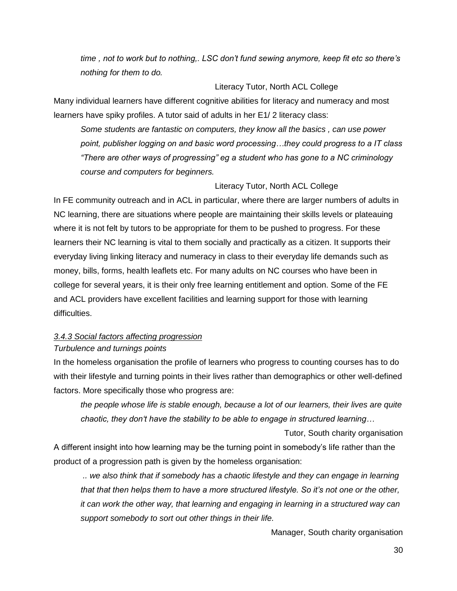*time , not to work but to nothing,. LSC don't fund sewing anymore, keep fit etc so there's nothing for them to do.*

### Literacy Tutor, North ACL College

Many individual learners have different cognitive abilities for literacy and numeracy and most learners have spiky profiles. A tutor said of adults in her E1/ 2 literacy class:

*Some students are fantastic on computers, they know all the basics , can use power point, publisher logging on and basic word processing…they could progress to a IT class "There are other ways of progressing" eg a student who has gone to a NC criminology course and computers for beginners.*

### Literacy Tutor, North ACL College

In FE community outreach and in ACL in particular, where there are larger numbers of adults in NC learning, there are situations where people are maintaining their skills levels or plateauing where it is not felt by tutors to be appropriate for them to be pushed to progress. For these learners their NC learning is vital to them socially and practically as a citizen. It supports their everyday living linking literacy and numeracy in class to their everyday life demands such as money, bills, forms, health leaflets etc. For many adults on NC courses who have been in college for several years, it is their only free learning entitlement and option. Some of the FE and ACL providers have excellent facilities and learning support for those with learning difficulties.

# *3.4.3 Social factors affecting progression*

### *Turbulence and turnings points*

In the homeless organisation the profile of learners who progress to counting courses has to do with their lifestyle and turning points in their lives rather than demographics or other well-defined factors. More specifically those who progress are:

*the people whose life is stable enough, because a lot of our learners, their lives are quite chaotic, they don't have the stability to be able to engage in structured learning…* 

Tutor, South charity organisation A different insight into how learning may be the turning point in somebody's life rather than the product of a progression path is given by the homeless organisation:

*.. we also think that if somebody has a chaotic lifestyle and they can engage in learning that that then helps them to have a more structured lifestyle. So it's not one or the other, it can work the other way, that learning and engaging in learning in a structured way can support somebody to sort out other things in their life.*

Manager, South charity organisation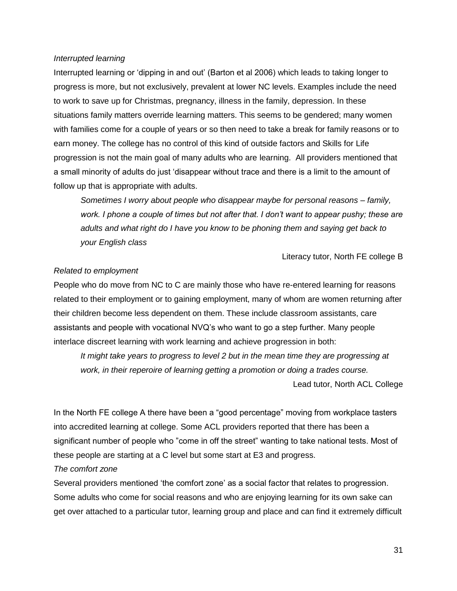### *Interrupted learning*

Interrupted learning or 'dipping in and out' (Barton et al 2006) which leads to taking longer to progress is more, but not exclusively, prevalent at lower NC levels. Examples include the need to work to save up for Christmas, pregnancy, illness in the family, depression. In these situations family matters override learning matters. This seems to be gendered; many women with families come for a couple of years or so then need to take a break for family reasons or to earn money. The college has no control of this kind of outside factors and Skills for Life progression is not the main goal of many adults who are learning. All providers mentioned that a small minority of adults do just 'disappear without trace and there is a limit to the amount of follow up that is appropriate with adults.

*Sometimes I worry about people who disappear maybe for personal reasons – family, work. I phone a couple of times but not after that. I don't want to appear pushy; these are adults and what right do I have you know to be phoning them and saying get back to your English class* 

Literacy tutor, North FE college B

### *Related to employment*

People who do move from NC to C are mainly those who have re-entered learning for reasons related to their employment or to gaining employment, many of whom are women returning after their children become less dependent on them. These include classroom assistants, care assistants and people with vocational NVQ's who want to go a step further. Many people interlace discreet learning with work learning and achieve progression in both:

*It might take years to progress to level 2 but in the mean time they are progressing at work, in their reperoire of learning getting a promotion or doing a trades course.* 

Lead tutor, North ACL College

In the North FE college A there have been a "good percentage" moving from workplace tasters into accredited learning at college. Some ACL providers reported that there has been a significant number of people who "come in off the street" wanting to take national tests. Most of these people are starting at a C level but some start at E3 and progress.

### *The comfort zone*

Several providers mentioned 'the comfort zone' as a social factor that relates to progression. Some adults who come for social reasons and who are enjoying learning for its own sake can get over attached to a particular tutor, learning group and place and can find it extremely difficult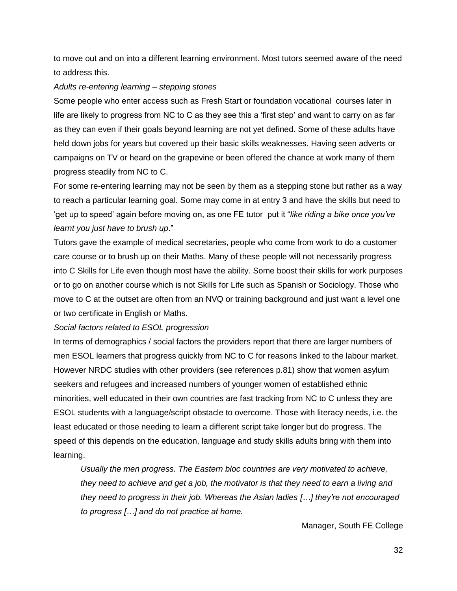to move out and on into a different learning environment. Most tutors seemed aware of the need to address this.

### *Adults re-entering learning – stepping stones*

Some people who enter access such as Fresh Start or foundation vocational courses later in life are likely to progress from NC to C as they see this a 'first step' and want to carry on as far as they can even if their goals beyond learning are not yet defined. Some of these adults have held down jobs for years but covered up their basic skills weaknesses. Having seen adverts or campaigns on TV or heard on the grapevine or been offered the chance at work many of them progress steadily from NC to C.

For some re-entering learning may not be seen by them as a stepping stone but rather as a way to reach a particular learning goal. Some may come in at entry 3 and have the skills but need to 'get up to speed' again before moving on, as one FE tutor put it "*like riding a bike once you've learnt you just have to brush up*."

Tutors gave the example of medical secretaries, people who come from work to do a customer care course or to brush up on their Maths. Many of these people will not necessarily progress into C Skills for Life even though most have the ability. Some boost their skills for work purposes or to go on another course which is not Skills for Life such as Spanish or Sociology. Those who move to C at the outset are often from an NVQ or training background and just want a level one or two certificate in English or Maths.

*Social factors related to ESOL progression* 

In terms of demographics / social factors the providers report that there are larger numbers of men ESOL learners that progress quickly from NC to C for reasons linked to the labour market. However NRDC studies with other providers (see references p.81) show that women asylum seekers and refugees and increased numbers of younger women of established ethnic minorities, well educated in their own countries are fast tracking from NC to C unless they are ESOL students with a language/script obstacle to overcome. Those with literacy needs, i.e. the least educated or those needing to learn a different script take longer but do progress. The speed of this depends on the education, language and study skills adults bring with them into learning.

*Usually the men progress. The Eastern bloc countries are very motivated to achieve, they need to achieve and get a job, the motivator is that they need to earn a living and they need to progress in their job. Whereas the Asian ladies […] they're not encouraged to progress […] and do not practice at home.* 

Manager, South FE College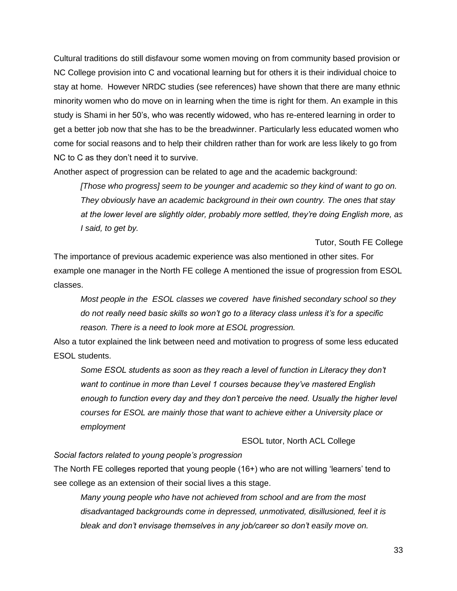Cultural traditions do still disfavour some women moving on from community based provision or NC College provision into C and vocational learning but for others it is their individual choice to stay at home. However NRDC studies (see references) have shown that there are many ethnic minority women who do move on in learning when the time is right for them. An example in this study is Shami in her 50's, who was recently widowed, who has re-entered learning in order to get a better job now that she has to be the breadwinner. Particularly less educated women who come for social reasons and to help their children rather than for work are less likely to go from NC to C as they don't need it to survive.

Another aspect of progression can be related to age and the academic background:

*[Those who progress] seem to be younger and academic so they kind of want to go on. They obviously have an academic background in their own country. The ones that stay at the lower level are slightly older, probably more settled, they're doing English more, as I said, to get by.*

Tutor, South FE College

The importance of previous academic experience was also mentioned in other sites. For example one manager in the North FE college A mentioned the issue of progression from ESOL classes.

*Most people in the ESOL classes we covered have finished secondary school so they do not really need basic skills so won't go to a literacy class unless it's for a specific reason. There is a need to look more at ESOL progression.*

Also a tutor explained the link between need and motivation to progress of some less educated ESOL students.

Some ESOL students as soon as they reach a level of function in Literacy they don't *want to continue in more than Level 1 courses because they've mastered English enough to function every day and they don't perceive the need. Usually the higher level courses for ESOL are mainly those that want to achieve either a University place or employment*

ESOL tutor, North ACL College

*Social factors related to young people's progression*

The North FE colleges reported that young people (16+) who are not willing 'learners' tend to see college as an extension of their social lives a this stage.

*Many young people who have not achieved from school and are from the most disadvantaged backgrounds come in depressed, unmotivated, disillusioned, feel it is bleak and don't envisage themselves in any job/career so don't easily move on.*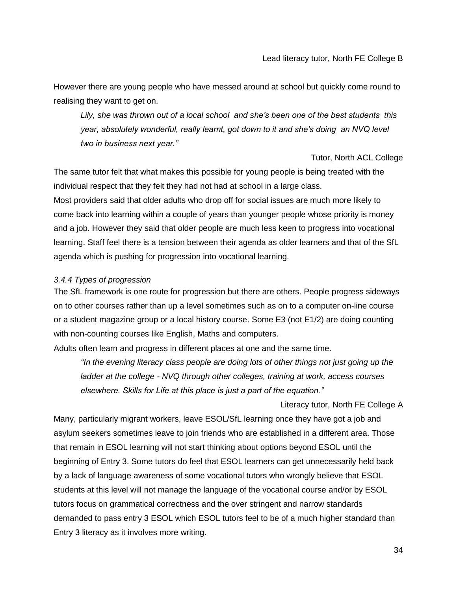However there are young people who have messed around at school but quickly come round to realising they want to get on.

*Lily, she was thrown out of a local school and she's been one of the best students this year, absolutely wonderful, really learnt, got down to it and she's doing an NVQ level two in business next year."* 

Tutor, North ACL College

Literacy tutor, North FE College A

The same tutor felt that what makes this possible for young people is being treated with the individual respect that they felt they had not had at school in a large class.

Most providers said that older adults who drop off for social issues are much more likely to come back into learning within a couple of years than younger people whose priority is money and a job. However they said that older people are much less keen to progress into vocational learning. Staff feel there is a tension between their agenda as older learners and that of the SfL agenda which is pushing for progression into vocational learning.

### *3.4.4 Types of progression*

The SfL framework is one route for progression but there are others. People progress sideways on to other courses rather than up a level sometimes such as on to a computer on-line course or a student magazine group or a local history course. Some E3 (not E1/2) are doing counting with non-counting courses like English, Maths and computers.

Adults often learn and progress in different places at one and the same time.

*"In the evening literacy class people are doing lots of other things not just going up the ladder at the college - NVQ through other colleges, training at work, access courses elsewhere. Skills for Life at this place is just a part of the equation."* 

Many, particularly migrant workers, leave ESOL/SfL learning once they have got a job and asylum seekers sometimes leave to join friends who are established in a different area. Those that remain in ESOL learning will not start thinking about options beyond ESOL until the beginning of Entry 3. Some tutors do feel that ESOL learners can get unnecessarily held back by a lack of language awareness of some vocational tutors who wrongly believe that ESOL students at this level will not manage the language of the vocational course and/or by ESOL tutors focus on grammatical correctness and the over stringent and narrow standards demanded to pass entry 3 ESOL which ESOL tutors feel to be of a much higher standard than Entry 3 literacy as it involves more writing.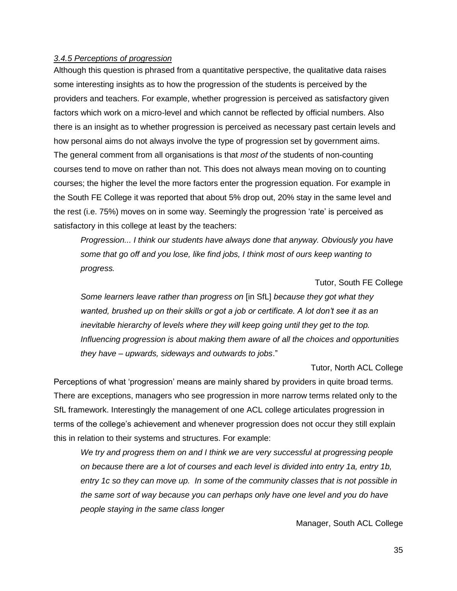### *3.4.5 Perceptions of progression*

Although this question is phrased from a quantitative perspective, the qualitative data raises some interesting insights as to how the progression of the students is perceived by the providers and teachers. For example, whether progression is perceived as satisfactory given factors which work on a micro-level and which cannot be reflected by official numbers. Also there is an insight as to whether progression is perceived as necessary past certain levels and how personal aims do not always involve the type of progression set by government aims. The general comment from all organisations is that *most of* the students of non-counting courses tend to move on rather than not. This does not always mean moving on to counting courses; the higher the level the more factors enter the progression equation. For example in the South FE College it was reported that about 5% drop out, 20% stay in the same level and the rest (i.e. 75%) moves on in some way. Seemingly the progression 'rate' is perceived as satisfactory in this college at least by the teachers:

*Progression... I think our students have always done that anyway. Obviously you have some that go off and you lose, like find jobs, I think most of ours keep wanting to progress.* 

Tutor, South FE College

*Some learners leave rather than progress on* [in SfL] *because they got what they wanted, brushed up on their skills or got a job or certificate. A lot don't see it as an inevitable hierarchy of levels where they will keep going until they get to the top. Influencing progression is about making them aware of all the choices and opportunities they have – upwards, sideways and outwards to jobs*."

Tutor, North ACL College

Perceptions of what 'progression' means are mainly shared by providers in quite broad terms. There are exceptions, managers who see progression in more narrow terms related only to the SfL framework. Interestingly the management of one ACL college articulates progression in terms of the college's achievement and whenever progression does not occur they still explain this in relation to their systems and structures. For example:

*We try and progress them on and I think we are very successful at progressing people on because there are a lot of courses and each level is divided into entry 1a, entry 1b, entry 1c so they can move up. In some of the community classes that is not possible in the same sort of way because you can perhaps only have one level and you do have people staying in the same class longer*

Manager, South ACL College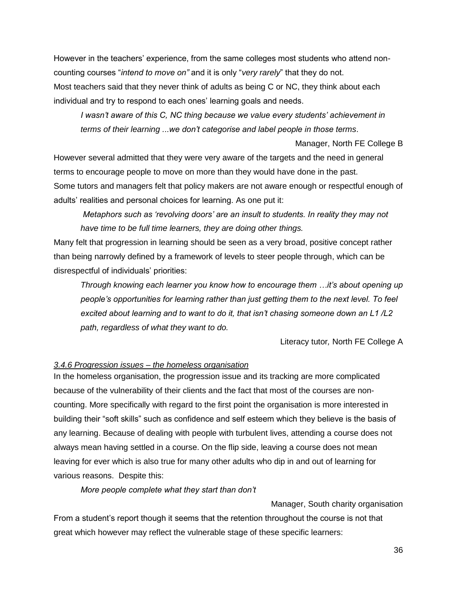However in the teachers' experience, from the same colleges most students who attend noncounting courses "*intend to move on"* and it is only "*very rarely*" that they do not. Most teachers said that they never think of adults as being C or NC, they think about each individual and try to respond to each ones' learning goals and needs.

*I wasn't aware of this C, NC thing because we value every students' achievement in terms of their learning ...we don't categorise and label people in those terms*.

Manager, North FE College B

However several admitted that they were very aware of the targets and the need in general terms to encourage people to move on more than they would have done in the past. Some tutors and managers felt that policy makers are not aware enough or respectful enough of adults' realities and personal choices for learning. As one put it:

*Metaphors such as 'revolving doors' are an insult to students. In reality they may not have time to be full time learners, they are doing other things.*

Many felt that progression in learning should be seen as a very broad, positive concept rather than being narrowly defined by a framework of levels to steer people through, which can be disrespectful of individuals' priorities:

*Through knowing each learner you know how to encourage them …it's about opening up people's opportunities for learning rather than just getting them to the next level. To feel excited about learning and to want to do it, that isn't chasing someone down an L1 /L2 path, regardless of what they want to do.* 

Literacy tutor*,* North FE College A

### *3.4.6 Progression issues – the homeless organisation*

In the homeless organisation, the progression issue and its tracking are more complicated because of the vulnerability of their clients and the fact that most of the courses are noncounting. More specifically with regard to the first point the organisation is more interested in building their "soft skills" such as confidence and self esteem which they believe is the basis of any learning. Because of dealing with people with turbulent lives, attending a course does not always mean having settled in a course. On the flip side, leaving a course does not mean leaving for ever which is also true for many other adults who dip in and out of learning for various reasons. Despite this:

*More people complete what they start than don't* 

Manager, South charity organisation From a student's report though it seems that the retention throughout the course is not that great which however may reflect the vulnerable stage of these specific learners: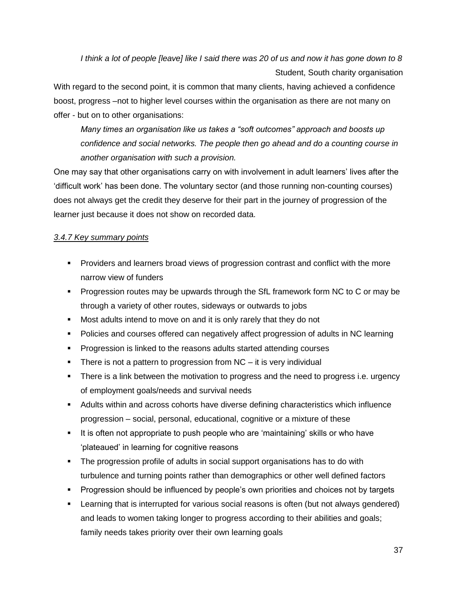*I think a lot of people [leave] like I said there was 20 of us and now it has gone down to 8* Student, South charity organisation

With regard to the second point, it is common that many clients, having achieved a confidence boost, progress –not to higher level courses within the organisation as there are not many on offer - but on to other organisations:

*Many times an organisation like us takes a "soft outcomes" approach and boosts up confidence and social networks. The people then go ahead and do a counting course in another organisation with such a provision.* 

One may say that other organisations carry on with involvement in adult learners' lives after the 'difficult work' has been done. The voluntary sector (and those running non-counting courses) does not always get the credit they deserve for their part in the journey of progression of the learner just because it does not show on recorded data.

# *3.4.7 Key summary points*

- Providers and learners broad views of progression contrast and conflict with the more narrow view of funders
- **Progression routes may be upwards through the SfL framework form NC to C or may be** through a variety of other routes, sideways or outwards to jobs
- **Most adults intend to move on and it is only rarely that they do not**
- Policies and courses offered can negatively affect progression of adults in NC learning
- **Progression is linked to the reasons adults started attending courses**
- There is not a pattern to progression from  $NC it$  is very individual
- **There is a link between the motivation to progress and the need to progress i.e. urgency** of employment goals/needs and survival needs
- Adults within and across cohorts have diverse defining characteristics which influence progression – social, personal, educational, cognitive or a mixture of these
- It is often not appropriate to push people who are 'maintaining' skills or who have 'plateaued' in learning for cognitive reasons
- The progression profile of adults in social support organisations has to do with turbulence and turning points rather than demographics or other well defined factors
- **Progression should be influenced by people's own priorities and choices not by targets**
- Learning that is interrupted for various social reasons is often (but not always gendered) and leads to women taking longer to progress according to their abilities and goals; family needs takes priority over their own learning goals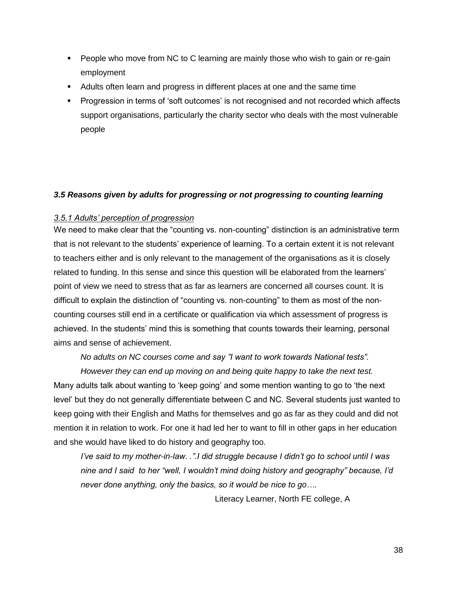- People who move from NC to C learning are mainly those who wish to gain or re-gain employment
- Adults often learn and progress in different places at one and the same time
- Progression in terms of 'soft outcomes' is not recognised and not recorded which affects support organisations, particularly the charity sector who deals with the most vulnerable people

### <span id="page-37-0"></span>*3.5 Reasons given by adults for progressing or not progressing to counting learning*

### *3.5.1 Adults' perception of progression*

We need to make clear that the "counting vs. non-counting" distinction is an administrative term that is not relevant to the students' experience of learning. To a certain extent it is not relevant to teachers either and is only relevant to the management of the organisations as it is closely related to funding. In this sense and since this question will be elaborated from the learners' point of view we need to stress that as far as learners are concerned all courses count. It is difficult to explain the distinction of "counting vs. non-counting" to them as most of the noncounting courses still end in a certificate or qualification via which assessment of progress is achieved. In the students' mind this is something that counts towards their learning, personal aims and sense of achievement.

*No adults on NC courses come and say "I want to work towards National tests".* 

*However they can end up moving on and being quite happy to take the next test.*  Many adults talk about wanting to 'keep going' and some mention wanting to go to 'the next level' but they do not generally differentiate between C and NC. Several students just wanted to keep going with their English and Maths for themselves and go as far as they could and did not mention it in relation to work. For one it had led her to want to fill in other gaps in her education and she would have liked to do history and geography too.

*I've said to my mother-in-law. .".I did struggle because I didn't go to school untiI I was nine and I said to her "well, I wouldn't mind doing history and geography" because, I'd never done anything, only the basics, so it would be nice to go….*

Literacy Learner, North FE college, A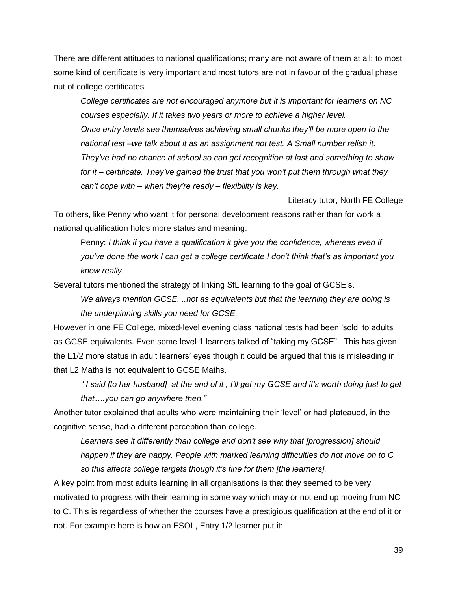There are different attitudes to national qualifications; many are not aware of them at all; to most some kind of certificate is very important and most tutors are not in favour of the gradual phase out of college certificates

*College certificates are not encouraged anymore but it is important for learners on NC courses especially. If it takes two years or more to achieve a higher level. Once entry levels see themselves achieving small chunks they'll be more open to the national test –we talk about it as an assignment not test. A Small number relish it. They've had no chance at school so can get recognition at last and something to show for it – certificate. They've gained the trust that you won't put them through what they can't cope with – when they're ready – flexibility is key.* 

Literacy tutor, North FE College

To others, like Penny who want it for personal development reasons rather than for work a national qualification holds more status and meaning:

Penny: *I think if you have a qualification it give you the confidence, whereas even if you've done the work I can get a college certificate I don't think that's as important you know really*.

Several tutors mentioned the strategy of linking SfL learning to the goal of GCSE's.

*We always mention GCSE. ..not as equivalents but that the learning they are doing is the underpinning skills you need for GCSE.*

However in one FE College, mixed-level evening class national tests had been 'sold' to adults as GCSE equivalents. Even some level 1 learners talked of "taking my GCSE". This has given the L1/2 more status in adult learners' eyes though it could be argued that this is misleading in that L2 Maths is not equivalent to GCSE Maths.

*" I said [to her husband] at the end of it , I'll get my GCSE and it's worth doing just to get that….you can go anywhere then."* 

Another tutor explained that adults who were maintaining their 'level' or had plateaued, in the cognitive sense, had a different perception than college.

*Learners see it differently than college and don't see why that [progression] should happen if they are happy. People with marked learning difficulties do not move on to C so this affects college targets though it's fine for them [the learners].*

A key point from most adults learning in all organisations is that they seemed to be very motivated to progress with their learning in some way which may or not end up moving from NC to C. This is regardless of whether the courses have a prestigious qualification at the end of it or not. For example here is how an ESOL, Entry 1/2 learner put it: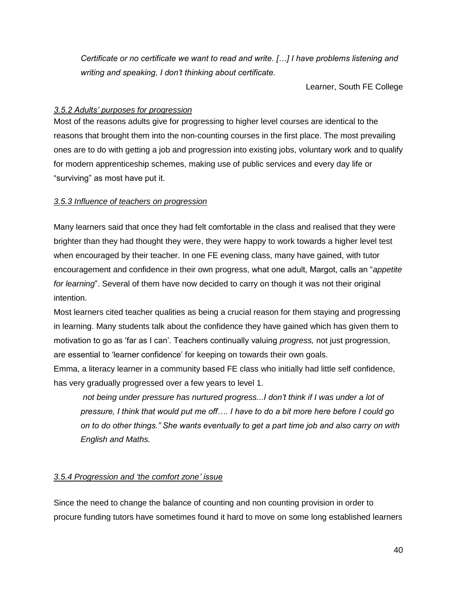*Certificate or no certificate we want to read and write. […] I have problems listening and writing and speaking, I don't thinking about certificate.*

Learner, South FE College

### *3.5.2 Adults' purposes for progression*

Most of the reasons adults give for progressing to higher level courses are identical to the reasons that brought them into the non-counting courses in the first place. The most prevailing ones are to do with getting a job and progression into existing jobs, voluntary work and to qualify for modern apprenticeship schemes, making use of public services and every day life or "surviving" as most have put it.

### *3.5.3 Influence of teachers on progression*

Many learners said that once they had felt comfortable in the class and realised that they were brighter than they had thought they were, they were happy to work towards a higher level test when encouraged by their teacher. In one FE evening class, many have gained, with tutor encouragement and confidence in their own progress, what one adult, Margot, calls an "*appetite for learning*". Several of them have now decided to carry on though it was not their original intention.

Most learners cited teacher qualities as being a crucial reason for them staying and progressing in learning. Many students talk about the confidence they have gained which has given them to motivation to go as 'far as I can'. Teachers continually valuing *progress,* not just progression, are essential to 'learner confidence' for keeping on towards their own goals.

Emma, a literacy learner in a community based FE class who initially had little self confidence, has very gradually progressed over a few years to level 1.

*not being under pressure has nurtured progress...I don't think if I was under a lot of pressure, I think that would put me off…. I have to do a bit more here before I could go on to do other things." She wants eventually to get a part time job and also carry on with English and Maths.* 

# *3.5.4 Progression and 'the comfort zone' issue*

Since the need to change the balance of counting and non counting provision in order to procure funding tutors have sometimes found it hard to move on some long established learners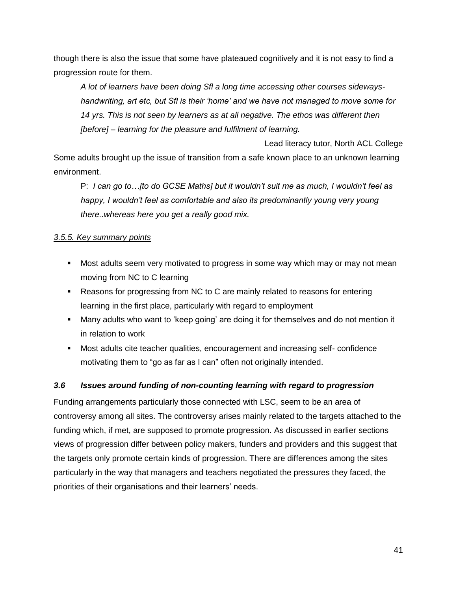though there is also the issue that some have plateaued cognitively and it is not easy to find a progression route for them.

*A lot of learners have been doing Sfl a long time accessing other courses sidewayshandwriting, art etc, but Sfl is their 'home' and we have not managed to move some for 14 yrs. This is not seen by learners as at all negative. The ethos was different then [before] – learning for the pleasure and fulfilment of learning.* 

Lead literacy tutor, North ACL College Some adults brought up the issue of transition from a safe known place to an unknown learning

environment.

P: *I can go to…[to do GCSE Maths] but it wouldn't suit me as much, I wouldn't feel as happy, I wouldn't feel as comfortable and also its predominantly young very young there..whereas here you get a really good mix.*

# *3.5.5. Key summary points*

- Most adults seem very motivated to progress in some way which may or may not mean moving from NC to C learning
- Reasons for progressing from NC to C are mainly related to reasons for entering learning in the first place, particularly with regard to employment
- Many adults who want to 'keep going' are doing it for themselves and do not mention it in relation to work
- Most adults cite teacher qualities, encouragement and increasing self- confidence motivating them to "go as far as I can" often not originally intended.

# <span id="page-40-0"></span>*3.6 Issues around funding of non-counting learning with regard to progression*

Funding arrangements particularly those connected with LSC, seem to be an area of controversy among all sites. The controversy arises mainly related to the targets attached to the funding which, if met, are supposed to promote progression. As discussed in earlier sections views of progression differ between policy makers, funders and providers and this suggest that the targets only promote certain kinds of progression. There are differences among the sites particularly in the way that managers and teachers negotiated the pressures they faced, the priorities of their organisations and their learners' needs.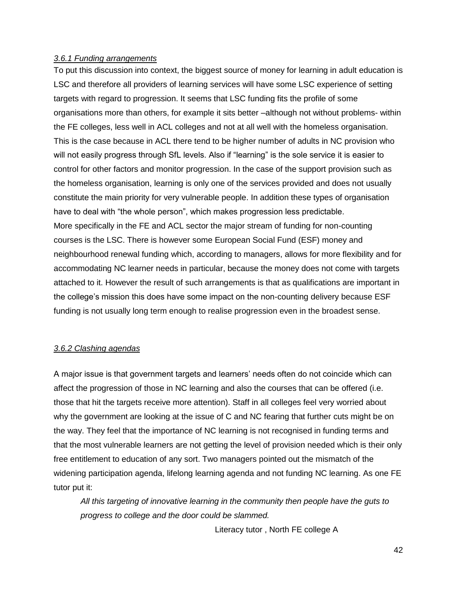### *3.6.1 Funding arrangements*

To put this discussion into context, the biggest source of money for learning in adult education is LSC and therefore all providers of learning services will have some LSC experience of setting targets with regard to progression. It seems that LSC funding fits the profile of some organisations more than others, for example it sits better –although not without problems- within the FE colleges, less well in ACL colleges and not at all well with the homeless organisation. This is the case because in ACL there tend to be higher number of adults in NC provision who will not easily progress through SfL levels. Also if "learning" is the sole service it is easier to control for other factors and monitor progression. In the case of the support provision such as the homeless organisation, learning is only one of the services provided and does not usually constitute the main priority for very vulnerable people. In addition these types of organisation have to deal with "the whole person", which makes progression less predictable. More specifically in the FE and ACL sector the major stream of funding for non-counting courses is the LSC. There is however some European Social Fund (ESF) money and neighbourhood renewal funding which, according to managers, allows for more flexibility and for accommodating NC learner needs in particular, because the money does not come with targets attached to it. However the result of such arrangements is that as qualifications are important in the college's mission this does have some impact on the non-counting delivery because ESF funding is not usually long term enough to realise progression even in the broadest sense.

### *3.6.2 Clashing agendas*

A major issue is that government targets and learners' needs often do not coincide which can affect the progression of those in NC learning and also the courses that can be offered (i.e. those that hit the targets receive more attention). Staff in all colleges feel very worried about why the government are looking at the issue of C and NC fearing that further cuts might be on the way. They feel that the importance of NC learning is not recognised in funding terms and that the most vulnerable learners are not getting the level of provision needed which is their only free entitlement to education of any sort. Two managers pointed out the mismatch of the widening participation agenda, lifelong learning agenda and not funding NC learning. As one FE tutor put it:

*All this targeting of innovative learning in the community then people have the guts to progress to college and the door could be slammed.*

Literacy tutor , North FE college A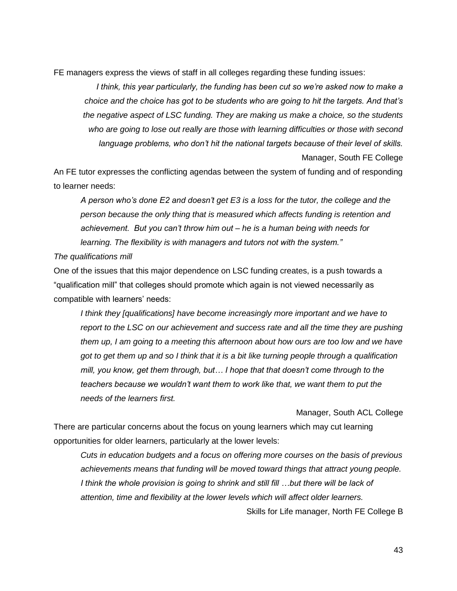FE managers express the views of staff in all colleges regarding these funding issues:

*I think, this year particularly, the funding has been cut so we're asked now to make a choice and the choice has got to be students who are going to hit the targets. And that's the negative aspect of LSC funding. They are making us make a choice, so the students who are going to lose out really are those with learning difficulties or those with second language problems, who don't hit the national targets because of their level of skills.*

Manager, South FE College

An FE tutor expresses the conflicting agendas between the system of funding and of responding to learner needs:

*A person who's done E2 and doesn't get E3 is a loss for the tutor, the college and the person because the only thing that is measured which affects funding is retention and achievement. But you can't throw him out – he is a human being with needs for learning. The flexibility is with managers and tutors not with the system."* 

*The qualifications mill*

One of the issues that this major dependence on LSC funding creates, is a push towards a "qualification mill" that colleges should promote which again is not viewed necessarily as compatible with learners' needs:

*I think they [qualifications] have become increasingly more important and we have to report to the LSC on our achievement and success rate and all the time they are pushing them up, I am going to a meeting this afternoon about how ours are too low and we have got to get them up and so I think that it is a bit like turning people through a qualification mill, you know, get them through, but… I hope that that doesn't come through to the teachers because we wouldn't want them to work like that, we want them to put the needs of the learners first.* 

Manager, South ACL College

There are particular concerns about the focus on young learners which may cut learning opportunities for older learners, particularly at the lower levels:

*Cuts in education budgets and a focus on offering more courses on the basis of previous achievements means that funding will be moved toward things that attract young people. I think the whole provision is going to shrink and still fill …but there will be lack of attention, time and flexibility at the lower levels which will affect older learners.* 

Skills for Life manager, North FE College B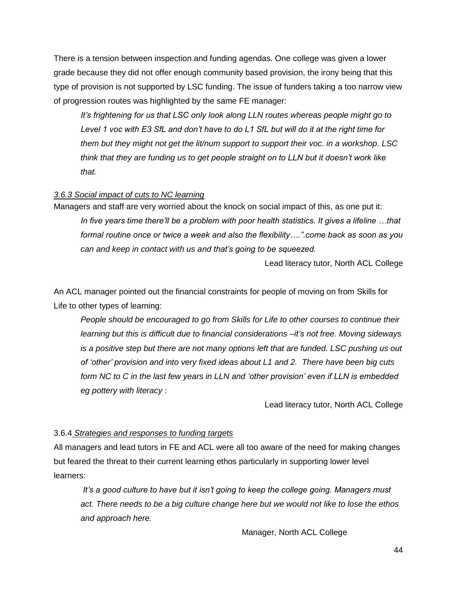There is a tension between inspection and funding agendas. One college was given a lower grade because they did not offer enough community based provision, the irony being that this type of provision is not supported by LSC funding. The issue of funders taking a too narrow view of progression routes was highlighted by the same FE manager:

*It's frightening for us that LSC only look along LLN routes whereas people might go to Level 1 voc with E3 SfL and don't have to do L1 SfL but will do it at the right time for them but they might not get the lit/num support to support their voc. in a workshop. LSC think that they are funding us to get people straight on to LLN but it doesn't work like that.*

### *3.6.3 Social impact of cuts to NC learning*

Managers and staff are very worried about the knock on social impact of this, as one put it: *In five years time there'll be a problem with poor health statistics. It gives a lifeline …that formal routine once or twice a week and also the flexibility….".come back as soon as you can and keep in contact with us and that's going to be squeezed.* 

Lead literacy tutor, North ACL College

An ACL manager pointed out the financial constraints for people of moving on from Skills for Life to other types of learning:

*People should be encouraged to go from Skills for Life to other courses to continue their learning but this is difficult due to financial considerations –it's not free. Moving sideways is a positive step but there are not many options left that are funded. LSC pushing us out of 'other' provision and into very fixed ideas about L1 and 2. There have been big cuts form NC to C in the last few years in LLN and 'other provision' even if LLN is embedded eg pottery with literacy* :

Lead literacy tutor, North ACL College

### 3.6.4 *Strategies and responses to funding targets*

All managers and lead tutors in FE and ACL were all too aware of the need for making changes but feared the threat to their current learning ethos particularly in supporting lower level learners:

*It's a good culture to have but it isn't going to keep the college going. Managers must act. There needs to be a big culture change here but we would not like to lose the ethos and approach here.*

Manager, North ACL College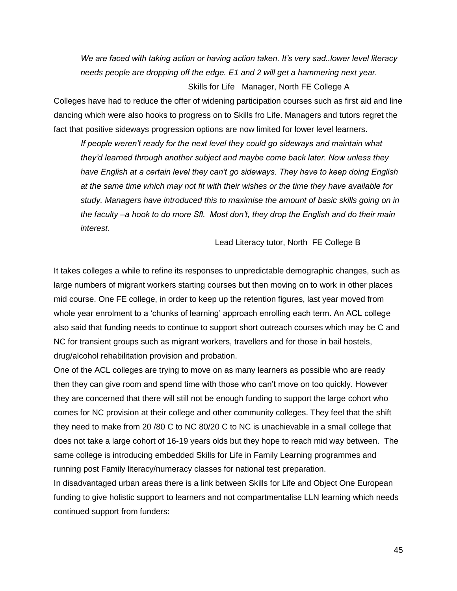*We are faced with taking action or having action taken. It's very sad..lower level literacy needs people are dropping off the edge. E1 and 2 will get a hammering next year.*  Skills for Life Manager, North FE College A

Colleges have had to reduce the offer of widening participation courses such as first aid and line dancing which were also hooks to progress on to Skills fro Life. Managers and tutors regret the fact that positive sideways progression options are now limited for lower level learners.

*If people weren't ready for the next level they could go sideways and maintain what they'd learned through another subject and maybe come back later. Now unless they have English at a certain level they can't go sideways. They have to keep doing English at the same time which may not fit with their wishes or the time they have available for study. Managers have introduced this to maximise the amount of basic skills going on in the faculty –a hook to do more Sfl. Most don't, they drop the English and do their main interest.* 

Lead Literacy tutor, North FE College B

It takes colleges a while to refine its responses to unpredictable demographic changes, such as large numbers of migrant workers starting courses but then moving on to work in other places mid course. One FE college, in order to keep up the retention figures, last year moved from whole year enrolment to a 'chunks of learning' approach enrolling each term. An ACL college also said that funding needs to continue to support short outreach courses which may be C and NC for transient groups such as migrant workers, travellers and for those in bail hostels, drug/alcohol rehabilitation provision and probation.

One of the ACL colleges are trying to move on as many learners as possible who are ready then they can give room and spend time with those who can't move on too quickly. However they are concerned that there will still not be enough funding to support the large cohort who comes for NC provision at their college and other community colleges. They feel that the shift they need to make from 20 /80 C to NC 80/20 C to NC is unachievable in a small college that does not take a large cohort of 16-19 years olds but they hope to reach mid way between. The same college is introducing embedded Skills for Life in Family Learning programmes and running post Family literacy/numeracy classes for national test preparation.

In disadvantaged urban areas there is a link between Skills for Life and Object One European funding to give holistic support to learners and not compartmentalise LLN learning which needs continued support from funders: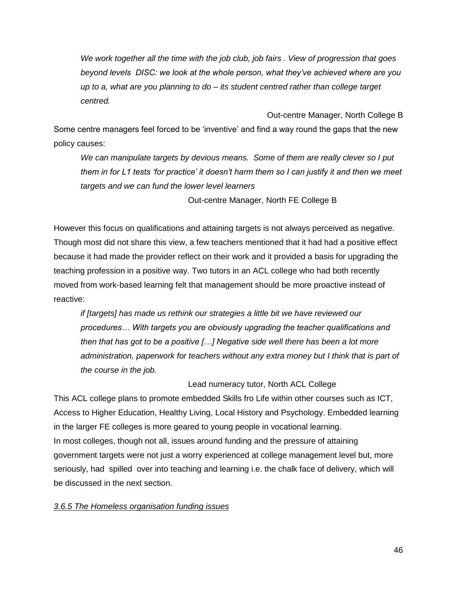*We work together all the time with the job club, job fairs . View of progression that goes beyond levels DISC: we look at the whole person, what they've achieved where are you up to a, what are you planning to do – its student centred rather than college target centred.* 

Out-centre Manager, North College B Some centre managers feel forced to be 'inventive' and find a way round the gaps that the new policy causes:

*We can manipulate targets by devious means. Some of them are really clever so I put them in for L1 tests 'for practice' it doesn't harm them so I can justify it and then we meet targets and we can fund the lower level learners*

Out-centre Manager, North FE College B

However this focus on qualifications and attaining targets is not always perceived as negative. Though most did not share this view, a few teachers mentioned that it had had a positive effect because it had made the provider reflect on their work and it provided a basis for upgrading the teaching profession in a positive way. Two tutors in an ACL college who had both recently moved from work-based learning felt that management should be more proactive instead of reactive:

*if [targets] has made us rethink our strategies a little bit we have reviewed our procedures… With targets you are obviously upgrading the teacher qualifications and then that has got to be a positive […] Negative side well there has been a lot more administration, paperwork for teachers without any extra money but I think that is part of the course in the job.* 

# Lead numeracy tutor, North ACL College

This ACL college plans to promote embedded Skills fro Life within other courses such as ICT, Access to Higher Education, Healthy Living, Local History and Psychology. Embedded learning in the larger FE colleges is more geared to young people in vocational learning. In most colleges, though not all, issues around funding and the pressure of attaining government targets were not just a worry experienced at college management level but, more seriously, had spilled over into teaching and learning i.e. the chalk face of delivery, which will be discussed in the next section.

### *3.6.5 The Homeless organisation funding issues*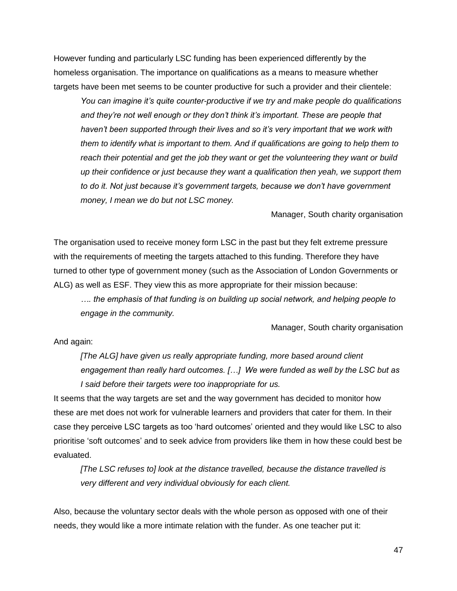However funding and particularly LSC funding has been experienced differently by the homeless organisation. The importance on qualifications as a means to measure whether targets have been met seems to be counter productive for such a provider and their clientele:

*You can imagine it's quite counter-productive if we try and make people do qualifications and they're not well enough or they don't think it's important. These are people that haven't been supported through their lives and so it's very important that we work with them to identify what is important to them. And if qualifications are going to help them to reach their potential and get the job they want or get the volunteering they want or build up their confidence or just because they want a qualification then yeah, we support them to do it. Not just because it's government targets, because we don't have government money, I mean we do but not LSC money.* 

Manager, South charity organisation

The organisation used to receive money form LSC in the past but they felt extreme pressure with the requirements of meeting the targets attached to this funding. Therefore they have turned to other type of government money (such as the Association of London Governments or ALG) as well as ESF. They view this as more appropriate for their mission because:

*…. the emphasis of that funding is on building up social network, and helping people to engage in the community.*

Manager, South charity organisation

And again:

*[The ALG] have given us really appropriate funding, more based around client engagement than really hard outcomes. […] We were funded as well by the LSC but as I said before their targets were too inappropriate for us.* 

It seems that the way targets are set and the way government has decided to monitor how these are met does not work for vulnerable learners and providers that cater for them. In their case they perceive LSC targets as too 'hard outcomes' oriented and they would like LSC to also prioritise 'soft outcomes' and to seek advice from providers like them in how these could best be evaluated.

*[The LSC refuses to] look at the distance travelled, because the distance travelled is very different and very individual obviously for each client.*

Also, because the voluntary sector deals with the whole person as opposed with one of their needs, they would like a more intimate relation with the funder. As one teacher put it: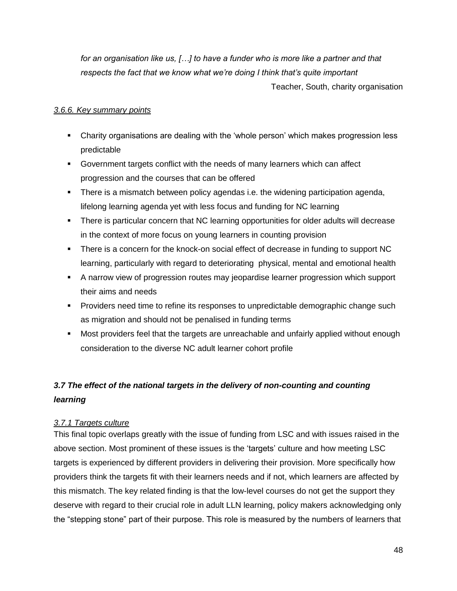*for an organisation like us, […] to have a funder who is more like a partner and that respects the fact that we know what we're doing I think that's quite important* Teacher, South, charity organisation

### *3.6.6. Key summary points*

- Charity organisations are dealing with the 'whole person' which makes progression less predictable
- Government targets conflict with the needs of many learners which can affect progression and the courses that can be offered
- There is a mismatch between policy agendas i.e. the widening participation agenda, lifelong learning agenda yet with less focus and funding for NC learning
- There is particular concern that NC learning opportunities for older adults will decrease in the context of more focus on young learners in counting provision
- **There is a concern for the knock-on social effect of decrease in funding to support NC** learning, particularly with regard to deteriorating physical, mental and emotional health
- A narrow view of progression routes may jeopardise learner progression which support their aims and needs
- Providers need time to refine its responses to unpredictable demographic change such as migration and should not be penalised in funding terms
- Most providers feel that the targets are unreachable and unfairly applied without enough consideration to the diverse NC adult learner cohort profile

# <span id="page-47-0"></span>*3.7 The effect of the national targets in the delivery of non-counting and counting learning*

# *3.7.1 Targets culture*

This final topic overlaps greatly with the issue of funding from LSC and with issues raised in the above section. Most prominent of these issues is the 'targets' culture and how meeting LSC targets is experienced by different providers in delivering their provision. More specifically how providers think the targets fit with their learners needs and if not, which learners are affected by this mismatch. The key related finding is that the low-level courses do not get the support they deserve with regard to their crucial role in adult LLN learning, policy makers acknowledging only the "stepping stone" part of their purpose. This role is measured by the numbers of learners that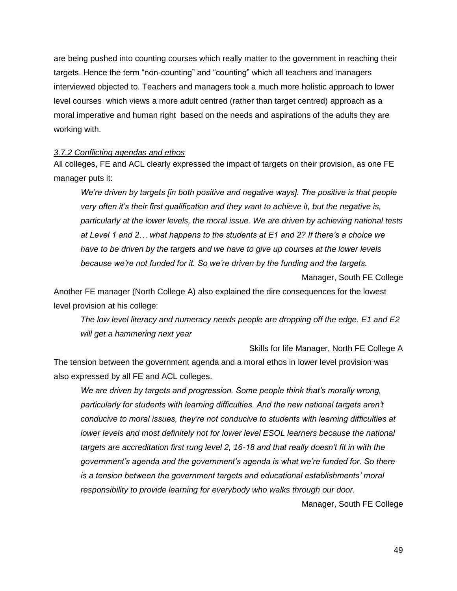are being pushed into counting courses which really matter to the government in reaching their targets. Hence the term "non-counting" and "counting" which all teachers and managers interviewed objected to. Teachers and managers took a much more holistic approach to lower level courses which views a more adult centred (rather than target centred) approach as a moral imperative and human right based on the needs and aspirations of the adults they are working with.

### *3.7.2 Conflicting agendas and ethos*

All colleges, FE and ACL clearly expressed the impact of targets on their provision, as one FE manager puts it:

*We're driven by targets [in both positive and negative ways]. The positive is that people very often it's their first qualification and they want to achieve it, but the negative is, particularly at the lower levels, the moral issue. We are driven by achieving national tests at Level 1 and 2… what happens to the students at E1 and 2? If there's a choice we have to be driven by the targets and we have to give up courses at the lower levels because we're not funded for it. So we're driven by the funding and the targets.* 

Manager, South FE College

Another FE manager (North College A) also explained the dire consequences for the lowest level provision at his college:

*The low level literacy and numeracy needs people are dropping off the edge. E1 and E2 will get a hammering next year*

Skills for life Manager, North FE College A

The tension between the government agenda and a moral ethos in lower level provision was also expressed by all FE and ACL colleges.

*We are driven by targets and progression. Some people think that's morally wrong, particularly for students with learning difficulties. And the new national targets aren't conducive to moral issues, they're not conducive to students with learning difficulties at lower levels and most definitely not for lower level ESOL learners because the national targets are accreditation first rung level 2, 16-18 and that really doesn't fit in with the government's agenda and the government's agenda is what we're funded for. So there is a tension between the government targets and educational establishments' moral responsibility to provide learning for everybody who walks through our door.* 

Manager, South FE College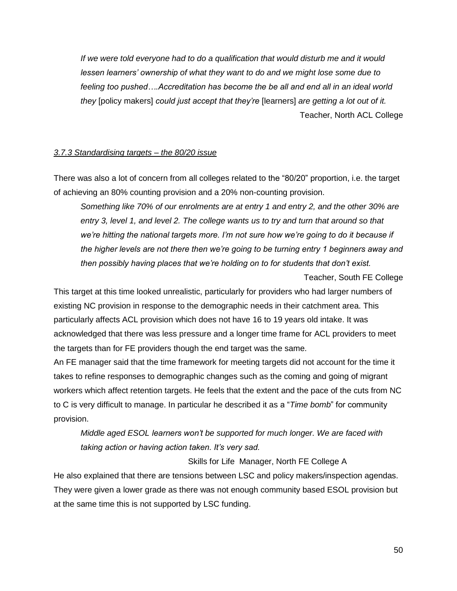*If we were told everyone had to do a qualification that would disturb me and it would lessen learners' ownership of what they want to do and we might lose some due to feeling too pushed….Accreditation has become the be all and end all in an ideal world they* [policy makers] *could just accept that they're* [learners] *are getting a lot out of it.*  Teacher, North ACL College

### *3.7.3 Standardising targets – the 80/20 issue*

There was also a lot of concern from all colleges related to the "80/20" proportion, i.e. the target of achieving an 80% counting provision and a 20% non-counting provision.

*Something like 70% of our enrolments are at entry 1 and entry 2, and the other 30% are entry 3, level 1, and level 2. The college wants us to try and turn that around so that we're hitting the national targets more. I'm not sure how we're going to do it because if the higher levels are not there then we're going to be turning entry 1 beginners away and then possibly having places that we're holding on to for students that don't exist.* 

#### Teacher, South FE College

This target at this time looked unrealistic, particularly for providers who had larger numbers of existing NC provision in response to the demographic needs in their catchment area. This particularly affects ACL provision which does not have 16 to 19 years old intake. It was acknowledged that there was less pressure and a longer time frame for ACL providers to meet the targets than for FE providers though the end target was the same.

An FE manager said that the time framework for meeting targets did not account for the time it takes to refine responses to demographic changes such as the coming and going of migrant workers which affect retention targets. He feels that the extent and the pace of the cuts from NC to C is very difficult to manage. In particular he described it as a "*Time bomb*" for community provision.

*Middle aged ESOL learners won't be supported for much longer. We are faced with taking action or having action taken. It's very sad.* 

Skills for LifeManager, North FE College A

He also explained that there are tensions between LSC and policy makers/inspection agendas. They were given a lower grade as there was not enough community based ESOL provision but at the same time this is not supported by LSC funding.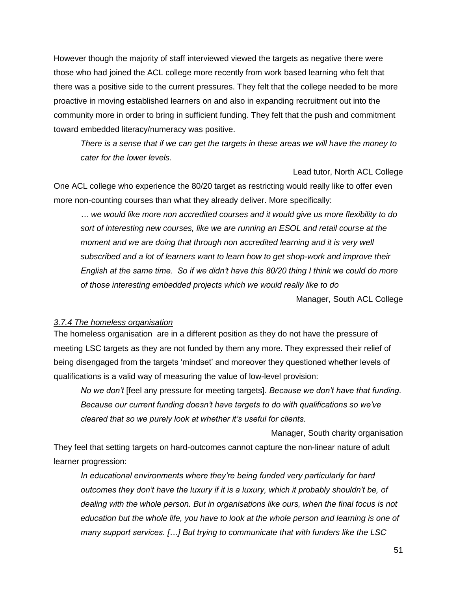However though the majority of staff interviewed viewed the targets as negative there were those who had joined the ACL college more recently from work based learning who felt that there was a positive side to the current pressures. They felt that the college needed to be more proactive in moving established learners on and also in expanding recruitment out into the community more in order to bring in sufficient funding. They felt that the push and commitment toward embedded literacy/numeracy was positive.

*There is a sense that if we can get the targets in these areas we will have the money to cater for the lower levels.* 

Lead tutor, North ACL College One ACL college who experience the 80/20 target as restricting would really like to offer even more non-counting courses than what they already deliver. More specifically:

*… we would like more non accredited courses and it would give us more flexibility to do sort of interesting new courses, like we are running an ESOL and retail course at the moment and we are doing that through non accredited learning and it is very well subscribed and a lot of learners want to learn how to get shop-work and improve their English at the same time. So if we didn't have this 80/20 thing I think we could do more of those interesting embedded projects which we would really like to do* 

Manager, South ACL College

### *3.7.4 The homeless organisation*

The homeless organisation are in a different position as they do not have the pressure of meeting LSC targets as they are not funded by them any more. They expressed their relief of being disengaged from the targets 'mindset' and moreover they questioned whether levels of qualifications is a valid way of measuring the value of low-level provision:

*No we don't* [feel any pressure for meeting targets]. *Because we don't have that funding. Because our current funding doesn't have targets to do with qualifications so we've cleared that so we purely look at whether it's useful for clients.* 

Manager, South charity organisation They feel that setting targets on hard-outcomes cannot capture the non-linear nature of adult learner progression:

*In educational environments where they're being funded very particularly for hard outcomes they don't have the luxury if it is a luxury, which it probably shouldn't be, of dealing with the whole person. But in organisations like ours, when the final focus is not education but the whole life, you have to look at the whole person and learning is one of many support services. […] But trying to communicate that with funders like the LSC*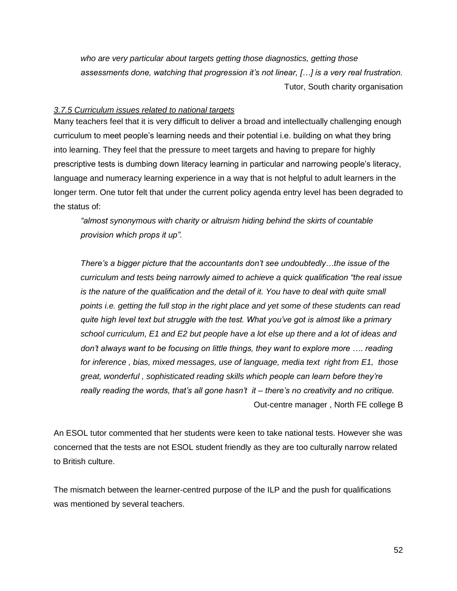*who are very particular about targets getting those diagnostics, getting those assessments done, watching that progression it's not linear, […] is a very real frustration.*  Tutor, South charity organisation

### *3.7.5 Curriculum issues related to national targets*

Many teachers feel that it is very difficult to deliver a broad and intellectually challenging enough curriculum to meet people's learning needs and their potential i.e. building on what they bring into learning. They feel that the pressure to meet targets and having to prepare for highly prescriptive tests is dumbing down literacy learning in particular and narrowing people's literacy, language and numeracy learning experience in a way that is not helpful to adult learners in the longer term. One tutor felt that under the current policy agenda entry level has been degraded to the status of:

*"almost synonymous with charity or altruism hiding behind the skirts of countable provision which props it up".* 

*There's a bigger picture that the accountants don't see undoubtedly…the issue of the curriculum and tests being narrowly aimed to achieve a quick qualification "the real issue is the nature of the qualification and the detail of it. You have to deal with quite small points i.e. getting the full stop in the right place and yet some of these students can read quite high level text but struggle with the test. What you've got is almost like a primary school curriculum, E1 and E2 but people have a lot else up there and a lot of ideas and don't always want to be focusing on little things, they want to explore more …. reading for inference , bias, mixed messages, use of language, media text right from E1, those great, wonderful , sophisticated reading skills which people can learn before they're really reading the words, that's all gone hasn't it – there's no creativity and no critique.*  Out-centre manager , North FE college B

An ESOL tutor commented that her students were keen to take national tests. However she was concerned that the tests are not ESOL student friendly as they are too culturally narrow related to British culture.

The mismatch between the learner-centred purpose of the ILP and the push for qualifications was mentioned by several teachers.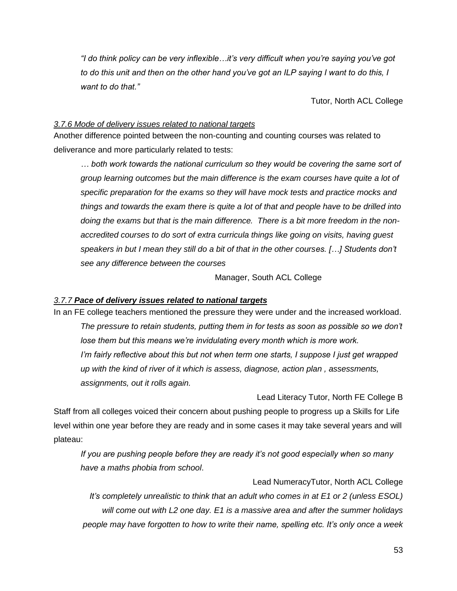*"I do think policy can be very inflexible…it's very difficult when you're saying you've got to do this unit and then on the other hand you've got an ILP saying I want to do this, I want to do that."* 

Tutor, North ACL College

### *3.7.6 Mode of delivery issues related to national targets*

Another difference pointed between the non-counting and counting courses was related to deliverance and more particularly related to tests:

*… both work towards the national curriculum so they would be covering the same sort of group learning outcomes but the main difference is the exam courses have quite a lot of specific preparation for the exams so they will have mock tests and practice mocks and things and towards the exam there is quite a lot of that and people have to be drilled into doing the exams but that is the main difference. There is a bit more freedom in the nonaccredited courses to do sort of extra curricula things like going on visits, having guest speakers in but I mean they still do a bit of that in the other courses. […] Students don't see any difference between the courses*

Manager, South ACL College

### *3.7.7 Pace of delivery issues related to national targets*

In an FE college teachers mentioned the pressure they were under and the increased workload. *The pressure to retain students, putting them in for tests as soon as possible so we don't lose them but this means we're invidulating every month which is more work. I'm fairly reflective about this but not when term one starts, I suppose I just get wrapped up with the kind of river of it which is assess, diagnose, action plan , assessments, assignments, out it rolls again.* 

Lead Literacy Tutor, North FE College B Staff from all colleges voiced their concern about pushing people to progress up a Skills for Life level within one year before they are ready and in some cases it may take several years and will plateau:

*If you are pushing people before they are ready it's not good especially when so many have a maths phobia from school*.

Lead NumeracyTutor, North ACL College *It's completely unrealistic to think that an adult who comes in at E1 or 2 (unless ESOL) will come out with L2 one day. E1 is a massive area and after the summer holidays people may have forgotten to how to write their name, spelling etc. It's only once a week*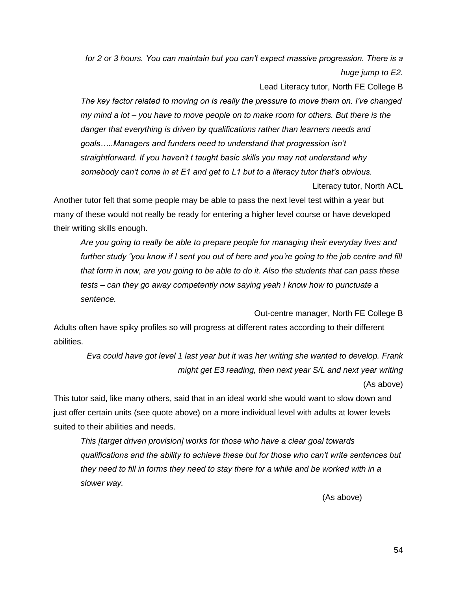*for 2 or 3 hours. You can maintain but you can't expect massive progression. There is a huge jump to E2.*

Lead Literacy tutor, North FE College B

*The key factor related to moving on is really the pressure to move them on. I've changed my mind a lot – you have to move people on to make room for others. But there is the danger that everything is driven by qualifications rather than learners needs and goals…..Managers and funders need to understand that progression isn't straightforward. If you haven't t taught basic skills you may not understand why somebody can't come in at E1 and get to L1 but to a literacy tutor that's obvious.* 

Literacy tutor, North ACL

Another tutor felt that some people may be able to pass the next level test within a year but many of these would not really be ready for entering a higher level course or have developed their writing skills enough.

*Are you going to really be able to prepare people for managing their everyday lives and further study "you know if I sent you out of here and you're going to the job centre and fill that form in now, are you going to be able to do it. Also the students that can pass these tests – can they go away competently now saying yeah I know how to punctuate a sentence.*

Out-centre manager, North FE College B

Adults often have spiky profiles so will progress at different rates according to their different abilities.

*Eva could have got level 1 last year but it was her writing she wanted to develop. Frank might get E3 reading, then next year S/L and next year writing* (As above)

This tutor said, like many others, said that in an ideal world she would want to slow down and just offer certain units (see quote above) on a more individual level with adults at lower levels suited to their abilities and needs.

*This [target driven provision] works for those who have a clear goal towards qualifications and the ability to achieve these but for those who can't write sentences but they need to fill in forms they need to stay there for a while and be worked with in a slower way.* 

(As above)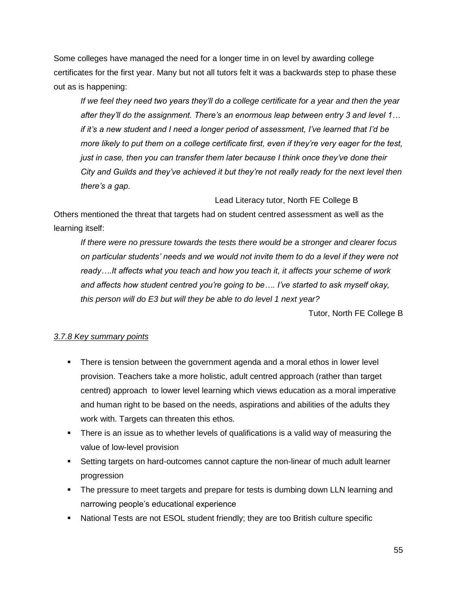Some colleges have managed the need for a longer time in on level by awarding college certificates for the first year. Many but not all tutors felt it was a backwards step to phase these out as is happening:

*If we feel they need two years they'll do a college certificate for a year and then the year after they'll do the assignment. There's an enormous leap between entry 3 and level 1… if it's a new student and I need a longer period of assessment, I've learned that I'd be more likely to put them on a college certificate first, even if they're very eager for the test, just in case, then you can transfer them later because I think once they've done their City and Guilds and they've achieved it but they're not really ready for the next level then there's a gap.* 

Lead Literacy tutor, North FE College B

Others mentioned the threat that targets had on student centred assessment as well as the learning itself:

*If there were no pressure towards the tests there would be a stronger and clearer focus on particular students' needs and we would not invite them to do a level if they were not ready….It affects what you teach and how you teach it, it affects your scheme of work and affects how student centred you're going to be…. I've started to ask myself okay, this person will do E3 but will they be able to do level 1 next year?* 

Tutor, North FE College B

### *3.7.8 Key summary points*

- There is tension between the government agenda and a moral ethos in lower level provision. Teachers take a more holistic, adult centred approach (rather than target centred) approach to lower level learning which views education as a moral imperative and human right to be based on the needs, aspirations and abilities of the adults they work with. Targets can threaten this ethos.
- There is an issue as to whether levels of qualifications is a valid way of measuring the value of low-level provision
- Setting targets on hard-outcomes cannot capture the non-linear of much adult learner progression
- The pressure to meet targets and prepare for tests is dumbing down LLN learning and narrowing people's educational experience
- National Tests are not ESOL student friendly; they are too British culture specific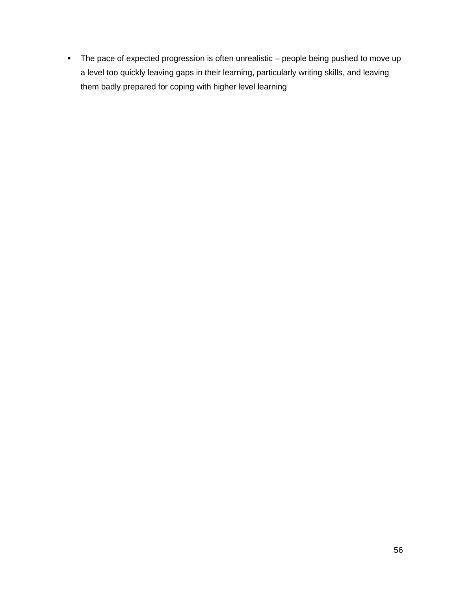• The pace of expected progression is often unrealistic – people being pushed to move up a level too quickly leaving gaps in their learning, particularly writing skills, and leaving them badly prepared for coping with higher level learning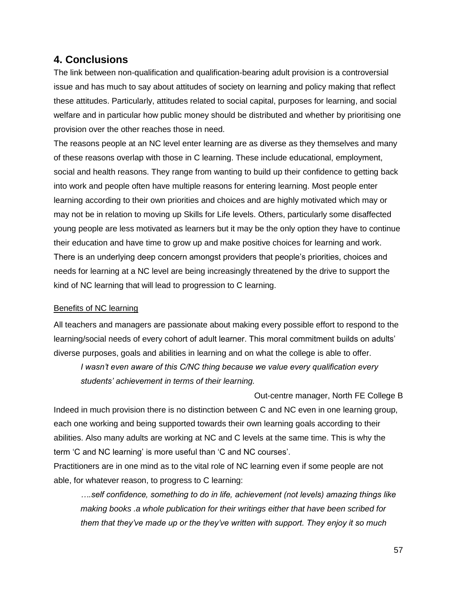# <span id="page-56-0"></span>**4. Conclusions**

The link between non-qualification and qualification-bearing adult provision is a controversial issue and has much to say about attitudes of society on learning and policy making that reflect these attitudes. Particularly, attitudes related to social capital, purposes for learning, and social welfare and in particular how public money should be distributed and whether by prioritising one provision over the other reaches those in need.

The reasons people at an NC level enter learning are as diverse as they themselves and many of these reasons overlap with those in C learning. These include educational, employment, social and health reasons. They range from wanting to build up their confidence to getting back into work and people often have multiple reasons for entering learning. Most people enter learning according to their own priorities and choices and are highly motivated which may or may not be in relation to moving up Skills for Life levels. Others, particularly some disaffected young people are less motivated as learners but it may be the only option they have to continue their education and have time to grow up and make positive choices for learning and work. There is an underlying deep concern amongst providers that people's priorities, choices and needs for learning at a NC level are being increasingly threatened by the drive to support the kind of NC learning that will lead to progression to C learning.

### <span id="page-56-1"></span>Benefits of NC learning

All teachers and managers are passionate about making every possible effort to respond to the learning/social needs of every cohort of adult learner. This moral commitment builds on adults' diverse purposes, goals and abilities in learning and on what the college is able to offer.

*I wasn't even aware of this C/NC thing because we value every qualification every students' achievement in terms of their learning.* 

Out-centre manager, North FE College B Indeed in much provision there is no distinction between C and NC even in one learning group, each one working and being supported towards their own learning goals according to their abilities. Also many adults are working at NC and C levels at the same time. This is why the term 'C and NC learning' is more useful than 'C and NC courses'.

Practitioners are in one mind as to the vital role of NC learning even if some people are not able, for whatever reason, to progress to C learning:

*….self confidence, something to do in life, achievement (not levels) amazing things like making books .a whole publication for their writings either that have been scribed for them that they've made up or the they've written with support. They enjoy it so much*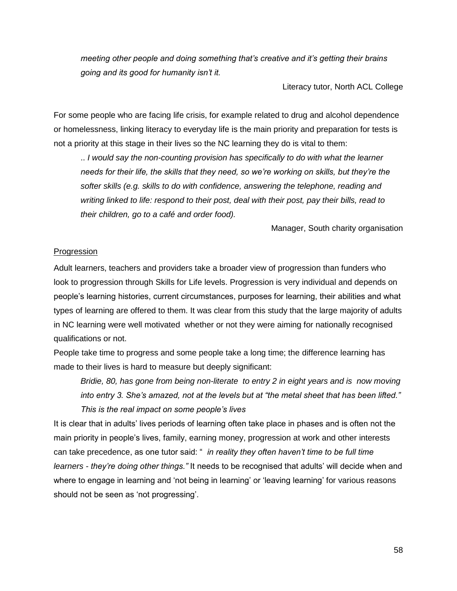*meeting other people and doing something that's creative and it's getting their brains going and its good for humanity isn't it.* 

Literacy tutor, North ACL College

For some people who are facing life crisis, for example related to drug and alcohol dependence or homelessness, linking literacy to everyday life is the main priority and preparation for tests is not a priority at this stage in their lives so the NC learning they do is vital to them:

.. *I would say the non-counting provision has specifically to do with what the learner needs for their life, the skills that they need, so we're working on skills, but they're the softer skills (e.g. skills to do with confidence, answering the telephone, reading and writing linked to life: respond to their post, deal with their post, pay their bills, read to their children, go to a café and order food).* 

Manager, South charity organisation

#### <span id="page-57-0"></span>Progression

Adult learners, teachers and providers take a broader view of progression than funders who look to progression through Skills for Life levels. Progression is very individual and depends on people's learning histories, current circumstances, purposes for learning, their abilities and what types of learning are offered to them. It was clear from this study that the large majority of adults in NC learning were well motivated whether or not they were aiming for nationally recognised qualifications or not.

People take time to progress and some people take a long time; the difference learning has made to their lives is hard to measure but deeply significant:

*Bridie, 80, has gone from being non-literate to entry 2 in eight years and is now moving into entry 3. She's amazed, not at the levels but at "the metal sheet that has been lifted." This is the real impact on some people's lives*

It is clear that in adults' lives periods of learning often take place in phases and is often not the main priority in people's lives, family, earning money, progression at work and other interests can take precedence, as one tutor said: " *in reality they often haven't time to be full time learners - they're doing other things."* It needs to be recognised that adults' will decide when and where to engage in learning and 'not being in learning' or 'leaving learning' for various reasons should not be seen as 'not progressing'.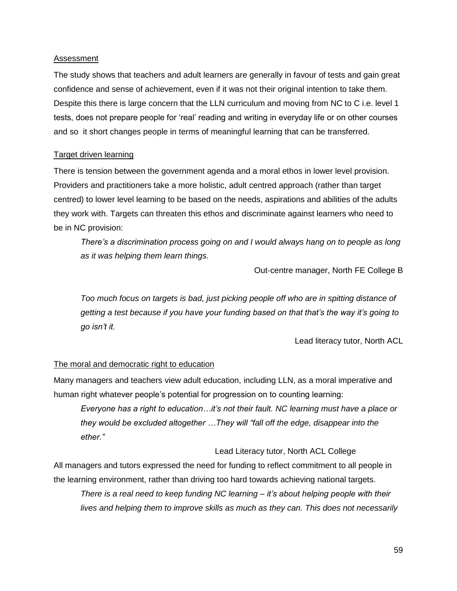### <span id="page-58-0"></span>Assessment

The study shows that teachers and adult learners are generally in favour of tests and gain great confidence and sense of achievement, even if it was not their original intention to take them. Despite this there is large concern that the LLN curriculum and moving from NC to C i.e. level 1 tests, does not prepare people for 'real' reading and writing in everyday life or on other courses and so it short changes people in terms of meaningful learning that can be transferred.

### <span id="page-58-1"></span>Target driven learning

There is tension between the government agenda and a moral ethos in lower level provision. Providers and practitioners take a more holistic, adult centred approach (rather than target centred) to lower level learning to be based on the needs, aspirations and abilities of the adults they work with. Targets can threaten this ethos and discriminate against learners who need to be in NC provision:

*There's a discrimination process going on and I would always hang on to people as long as it was helping them learn things.* 

Out-centre manager, North FE College B

*Too much focus on targets is bad, just picking people off who are in spitting distance of getting a test because if you have your funding based on that that's the way it's going to go isn't it.* 

Lead literacy tutor, North ACL

### <span id="page-58-2"></span>The moral and democratic right to education

Many managers and teachers view adult education, including LLN, as a moral imperative and human right whatever people's potential for progression on to counting learning:

*Everyone has a right to education…it's not their fault. NC learning must have a place or they would be excluded altogether …They will "fall off the edge, disappear into the ether."*

Lead Literacy tutor, North ACL College

All managers and tutors expressed the need for funding to reflect commitment to all people in the learning environment, rather than driving too hard towards achieving national targets.

*There is a real need to keep funding NC learning – it's about helping people with their lives and helping them to improve skills as much as they can. This does not necessarily*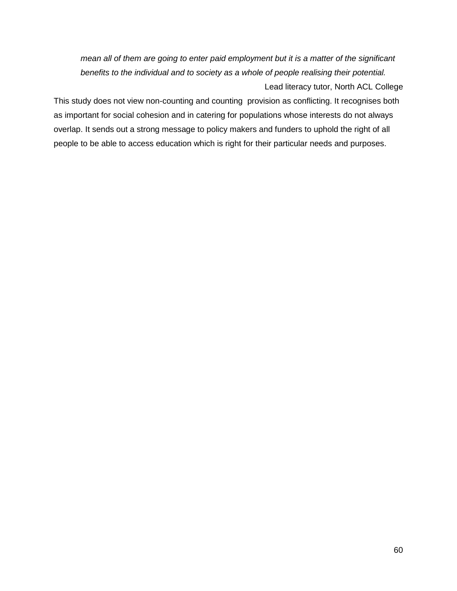*mean all of them are going to enter paid employment but it is a matter of the significant benefits to the individual and to society as a whole of people realising their potential.*  Lead literacy tutor, North ACL College

This study does not view non-counting and counting provision as conflicting. It recognises both as important for social cohesion and in catering for populations whose interests do not always overlap. It sends out a strong message to policy makers and funders to uphold the right of all people to be able to access education which is right for their particular needs and purposes.